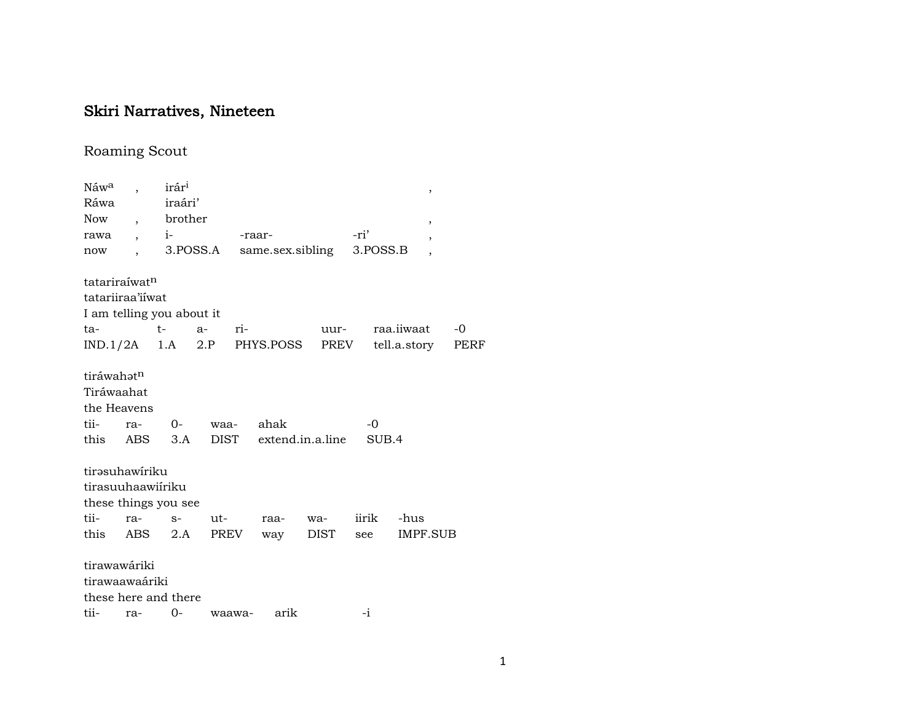## Skiri Narratives, Nineteen

## Roaming Scout

| Náw <sup>a</sup>          |                          | irár <sup>i</sup> |          |                              |                  |          | ,                        |      |
|---------------------------|--------------------------|-------------------|----------|------------------------------|------------------|----------|--------------------------|------|
| Ráwa                      |                          | iraári'           |          |                              |                  |          |                          |      |
| Now                       | $\overline{\phantom{a}}$ | brother           |          |                              |                  |          | ,                        |      |
| rawa                      |                          | $i-$              |          | -raar-                       |                  | -ri'     | $\overline{\phantom{a}}$ |      |
| now                       |                          |                   | 3.POSS.A |                              | same.sex.sibling | 3.POSS.B | $\overline{\phantom{a}}$ |      |
| tatariraíwat <sup>n</sup> |                          |                   |          |                              |                  |          |                          |      |
| tatariiraa'iiwat          |                          |                   |          |                              |                  |          |                          |      |
| I am telling you about it |                          |                   |          |                              |                  |          |                          |      |
| ta-                       |                          | $t \qquad$        | $a-$     | ri-                          | uur-             |          | raa.iiwaat               | $-0$ |
|                           |                          |                   |          | $IND.1/2A$ 1.A 2.P PHYS.POSS |                  | PREV     | tell.a.story             | PERF |
|                           |                          |                   |          |                              |                  |          |                          |      |
| tiráwahatn                |                          |                   |          |                              |                  |          |                          |      |
| Tiráwaahat                |                          |                   |          |                              |                  |          |                          |      |
| the Heavens               |                          |                   |          |                              |                  |          |                          |      |
| tii-                      | ra-                      | $0-$              | waa-     | ahak                         |                  | $-0$     |                          |      |
| this                      | ABS                      | 3.A               | DIST     |                              | extend.in.a.line |          | SUB.4                    |      |
|                           |                          |                   |          |                              |                  |          |                          |      |
| tirəsuhawiriku            |                          |                   |          |                              |                  |          |                          |      |
| tirasuuhaawiiriku         |                          |                   |          |                              |                  |          |                          |      |
| these things you see      |                          |                   |          |                              |                  |          |                          |      |
| tii-                      | ra-                      | $S-$              | ut-      | raa-                         | wa-              | iirik    | -hus                     |      |
| this                      | ABS                      | 2.A               | PREV     | way                          | DIST             | see      | IMPF.SUB                 |      |
|                           |                          |                   |          |                              |                  |          |                          |      |
| tirawawáriki              |                          |                   |          |                              |                  |          |                          |      |
| tirawaawaáriki            |                          |                   |          |                              |                  |          |                          |      |
| these here and there      |                          |                   |          |                              |                  |          |                          |      |
| tii-                      | ra-                      | $0 -$             | waawa-   |                              | arik             | -i       |                          |      |
|                           |                          |                   |          |                              |                  |          |                          |      |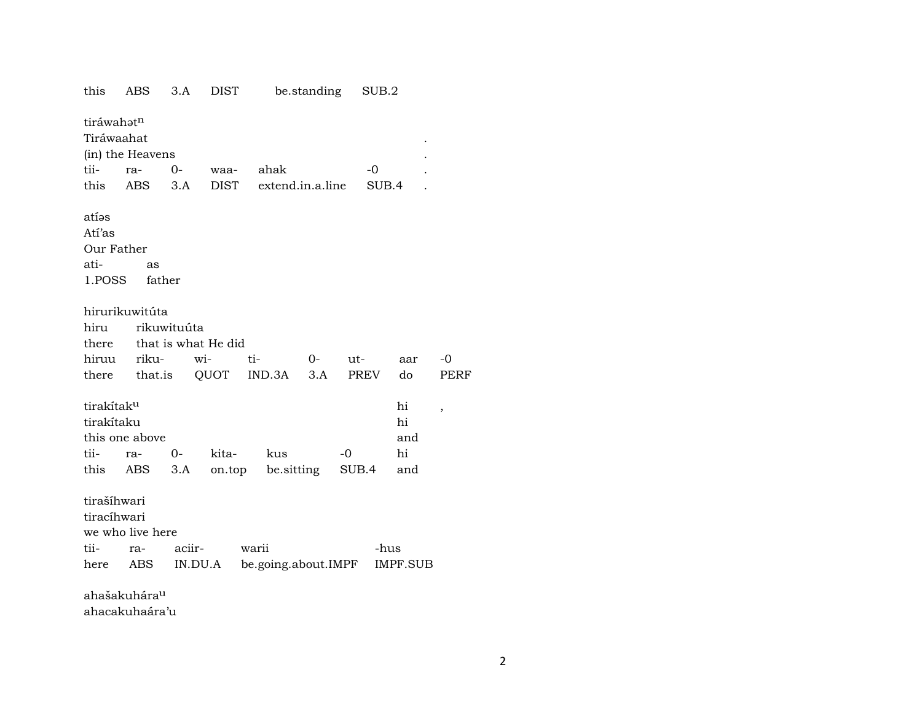| this                   | ABS                      | 3.A                 | DIST  |       |                     | be.standing |       | SUB.2 |                 |      |
|------------------------|--------------------------|---------------------|-------|-------|---------------------|-------------|-------|-------|-----------------|------|
| tiráwahatn             |                          |                     |       |       |                     |             |       |       |                 |      |
| Tiráwaahat             |                          |                     |       |       |                     |             |       |       |                 |      |
|                        | (in) the Heavens         |                     |       |       |                     |             |       |       |                 |      |
| tii-                   | ra-                      | $0-$                | waa-  |       | ahak                |             |       | -0    |                 |      |
| this                   | ABS                      | 3.A                 | DIST  |       | extend.in.a.line    |             |       | SUB.4 |                 |      |
|                        |                          |                     |       |       |                     |             |       |       |                 |      |
| atíəs                  |                          |                     |       |       |                     |             |       |       |                 |      |
| Atí'as                 |                          |                     |       |       |                     |             |       |       |                 |      |
| Our Father             |                          |                     |       |       |                     |             |       |       |                 |      |
| ati-                   | as                       |                     |       |       |                     |             |       |       |                 |      |
| 1.POSS                 | father                   |                     |       |       |                     |             |       |       |                 |      |
|                        | hirurikuwitúta           |                     |       |       |                     |             |       |       |                 |      |
|                        |                          |                     |       |       |                     |             |       |       |                 |      |
| hiru                   |                          | rikuwituúta         |       |       |                     |             |       |       |                 |      |
| there                  |                          | that is what He did |       |       |                     |             |       |       |                 |      |
| hiruu                  | riku-                    | wi-                 |       | ti-   |                     | $O-$        | ut-   |       | aar             | $-0$ |
| there                  | that.is                  |                     | QUOT  |       | IND.3A              | 3.A         |       | PREV  | do              | PERF |
| tirakítak <sup>u</sup> |                          |                     |       |       |                     |             |       |       | hi              | ,    |
| tirakítaku             |                          |                     |       |       |                     |             |       |       | hi              |      |
|                        | this one above           |                     |       |       |                     |             |       |       | and             |      |
| tii-                   | ra-                      | $0-$                | kita- |       | kus                 |             | $-0$  |       | hi              |      |
| this                   | ABS                      | 3.A                 |       |       | on.top be.sitting   |             | SUB.4 |       | and             |      |
|                        |                          |                     |       |       |                     |             |       |       |                 |      |
| tirašíhwari            |                          |                     |       |       |                     |             |       |       |                 |      |
| tiracíhwari            |                          |                     |       |       |                     |             |       |       |                 |      |
|                        | we who live here         |                     |       |       |                     |             |       |       |                 |      |
| tii-                   | ra-                      | aciir-              |       | warii |                     |             |       | -hus  |                 |      |
| here                   | ABS                      | IN.DU.A             |       |       | be.going.about.IMPF |             |       |       | <b>IMPF.SUB</b> |      |
|                        | ahašakuhára <sup>u</sup> |                     |       |       |                     |             |       |       |                 |      |
|                        |                          |                     |       |       |                     |             |       |       |                 |      |

ahacakuhaára'u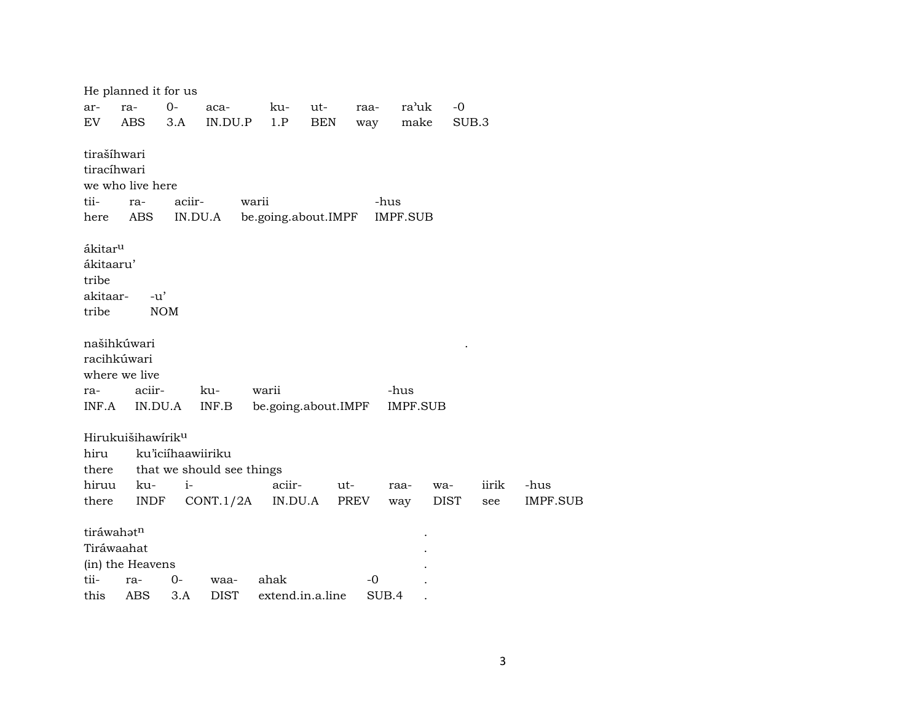He planned it for us ar- ra- 0- aca- ku- ut- raa- ra"uk -0 EV ABS 3.A IN.DU.P 1.P BEN way make SUB.3 tirašíhwari tiracíhwari we who live here tii- ra- aciir- warii - -hus here ABS IN.DU.A be.going.about.IMPF IMPF.SUB ákitar<sup>u</sup> ákitaaru' tribe akitaar- -u' tribe NOM našihkúwari . racihkúwari where we live ra- aciir- ku- warii -hus INF.A IN.DU.A INF.B be.going.about.IMPF IMPF.SUB Hirukuišihawírikµ hiru ku'iciíhaawiiriku there that we should see things hiruu ku- i- aciir- ut- raa- wa- iirik -hus there INDF CONT.1/2A IN.DU.A PREV way DIST see IMPF.SUB tiráwahət<sup>n</sup> Tiráwaahat . (in) the Heavens tii- ra- 0- waa- ahak -0 . this ABS 3.A DIST extend.in.a.line SUB.4 .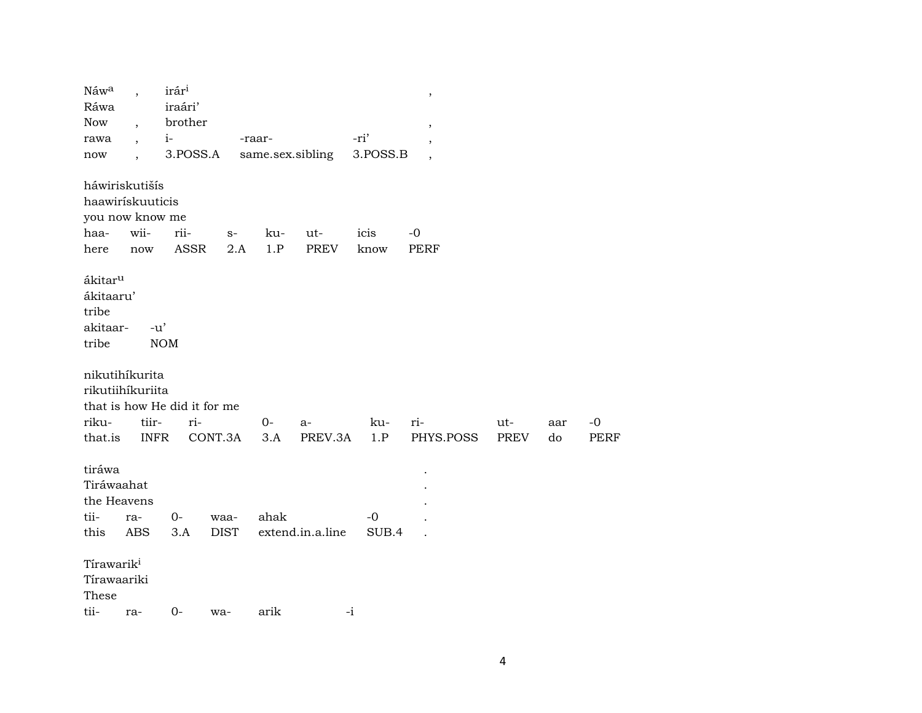| Náwa<br>Ráwa<br><b>Now</b><br>rawa<br>now                      | $\overline{\phantom{a}}$<br>$\overline{\phantom{a}}$<br>$\overline{\phantom{a}}$ | irár <sup>i</sup><br>iraári'<br>$i-$ | brother<br>3.POSS.A          |                     | -raar-<br>same.sex.sibling |                  | -ri'<br>3.POSS.B | $\, ,$<br>$\,$<br>,<br>$\overline{\phantom{a}}$ |             |     |      |  |
|----------------------------------------------------------------|----------------------------------------------------------------------------------|--------------------------------------|------------------------------|---------------------|----------------------------|------------------|------------------|-------------------------------------------------|-------------|-----|------|--|
| háwiriskutišís<br>haawirískuuticis<br>you now know me<br>haa-  | wii-                                                                             | rii-                                 |                              | $\mathbf{S}^-$      | ku-                        | ut-              | icis             | $-0$                                            |             |     |      |  |
| here                                                           | $\operatorname{now}$                                                             |                                      | ASSR                         | 2.A                 | 1.P                        | <b>PREV</b>      | know             | <b>PERF</b>                                     |             |     |      |  |
| ákitar <sup>u</sup><br>ákitaaru'<br>tribe<br>akitaar-<br>tribe | $-u'$                                                                            | <b>NOM</b>                           |                              |                     |                            |                  |                  |                                                 |             |     |      |  |
| nikutihíkurita<br>rikutiihíkuriita                             |                                                                                  |                                      | that is how He did it for me |                     |                            |                  |                  |                                                 |             |     |      |  |
| riku-                                                          | tiir-                                                                            |                                      | ri-                          |                     | $0-$                       | a-               | ku-              | ri-                                             | ut-         | aar | $-0$ |  |
| that.is                                                        | <b>INFR</b>                                                                      |                                      | CONT.3A                      |                     | 3.A                        | PREV.3A          | 1.P              | PHYS.POSS                                       | <b>PREV</b> | do  | PERF |  |
| tiráwa<br>Tiráwaahat<br>the Heavens<br>tii-<br>this            | ra-<br><b>ABS</b>                                                                | $O -$<br>3.A                         |                              | waa-<br><b>DIST</b> | ahak                       | extend.in.a.line | $-0$<br>SUB.4    |                                                 |             |     |      |  |
| Tírawarik <sup>i</sup><br>Tírawaariki<br>These                 |                                                                                  |                                      |                              |                     |                            |                  |                  |                                                 |             |     |      |  |
| tii-                                                           | ra-                                                                              | $0-$                                 | wa-                          |                     | arik                       | $-i$             |                  |                                                 |             |     |      |  |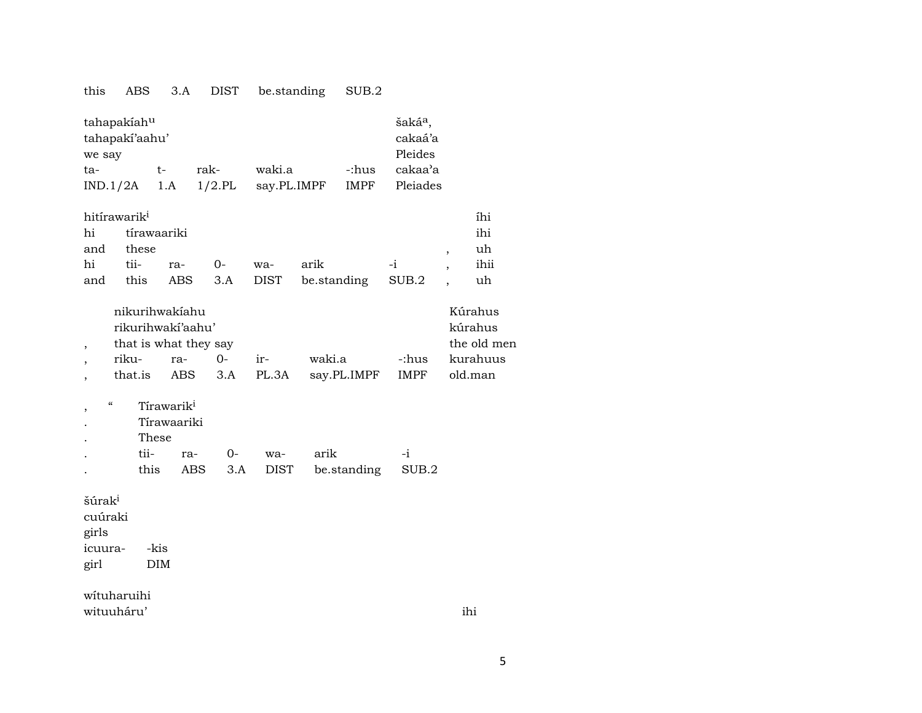## this ABS 3.A DIST be.standing SUB.2

| tahapakiah <sup>u</sup><br>tahapaki'aahu' | šaká <sup>a</sup> ,<br>cakaá'a |           |             |       |          |  |  |  |  |
|-------------------------------------------|--------------------------------|-----------|-------------|-------|----------|--|--|--|--|
| we say                                    | Pleides                        |           |             |       |          |  |  |  |  |
| ta-                                       | t-                             | rak-      | waki.a      | -:hus | cakaa'a  |  |  |  |  |
| $IND.1/2A$ 1.A                            |                                | $1/2$ .PL | say.PL.IMPF | IMPF  | Pleiades |  |  |  |  |

| hitírawarik <sup>i</sup><br>íhi |                |                    |  |  |                                          |  |  |      |  |  |  |  |  |
|---------------------------------|----------------|--------------------|--|--|------------------------------------------|--|--|------|--|--|--|--|--|
|                                 | hi tirawaariki |                    |  |  |                                          |  |  | ihi  |  |  |  |  |  |
| and these                       |                |                    |  |  |                                          |  |  |      |  |  |  |  |  |
|                                 |                | hi tii- ra- 0- wa- |  |  | arik -i .                                |  |  | ihii |  |  |  |  |  |
|                                 |                |                    |  |  | and this ABS 3.A DIST be.standing SUB.2, |  |  | uh   |  |  |  |  |  |

| nikurihwakiahu    | Kúrahus               |      |               |                  |       |          |  |  |  |  |  |  |
|-------------------|-----------------------|------|---------------|------------------|-------|----------|--|--|--|--|--|--|
| rikurihwaki'aahu' | kúrahus               |      |               |                  |       |          |  |  |  |  |  |  |
|                   | that is what they say |      |               |                  |       |          |  |  |  |  |  |  |
| riku-             | ra-                   | $O-$ | $ir-$         | waki.a           | -:hus | kurahuus |  |  |  |  |  |  |
| that.is           |                       |      | ABS 3.A PL.3A | say.PL.IMPF IMPF |       | old.man  |  |  |  |  |  |  |

, " Tírawarik $^i$ 

. Tírawaariki

. These

|  |  | tii- ra- 0- wa- arik |                                     |  |
|--|--|----------------------|-------------------------------------|--|
|  |  |                      | this ABS 3.A DIST be standing SUB.2 |  |

šúra $\mathrm{k}^{\mathrm{i}}$ 

cuúraki girls icuura- -kis girl DIM

wítuharuihi wituuháru' ihi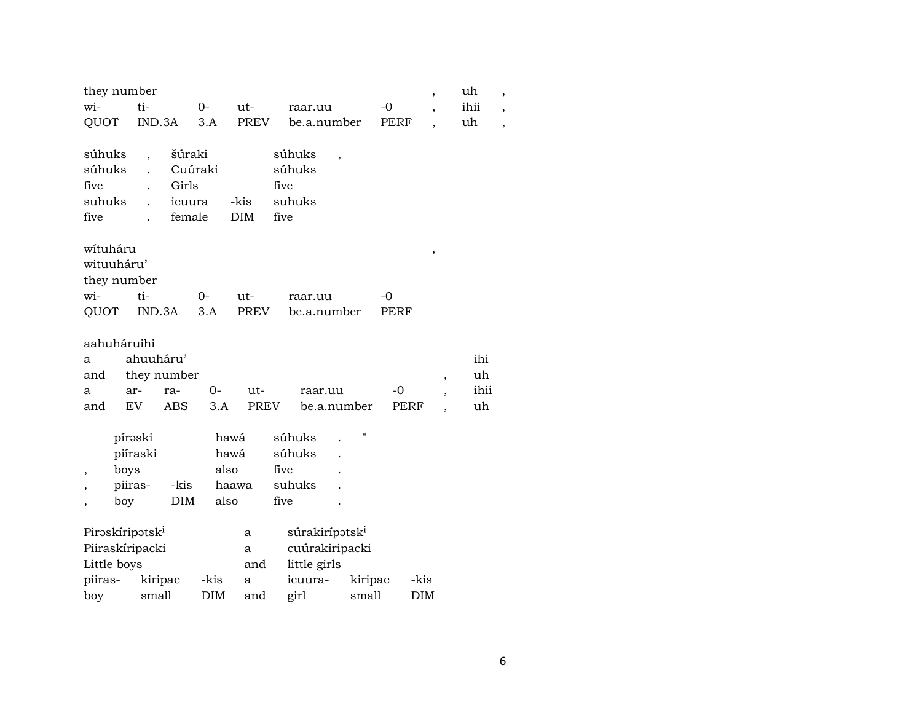| they number                                |                                                                                                                                         |                    |                                       |             |              |                            |         |             | $\overline{\phantom{a}}$ |                          | uh        |  |
|--------------------------------------------|-----------------------------------------------------------------------------------------------------------------------------------------|--------------------|---------------------------------------|-------------|--------------|----------------------------|---------|-------------|--------------------------|--------------------------|-----------|--|
| wi-                                        | ti-<br>$O -$<br>ut-                                                                                                                     |                    |                                       |             |              | raar.uu                    |         | -0          |                          |                          | ihii      |  |
| QUOT                                       | IND.3A                                                                                                                                  |                    | 3.A                                   | <b>PREV</b> |              | be.a.number                |         | PERF        |                          |                          | uh        |  |
| súhuks<br>súhuks<br>five<br>suhuks<br>five | šúraki<br>súhuks<br>$\overline{\phantom{a}}$<br>Cuúraki<br>súhuks<br>Girls<br>five<br>-kis<br>suhuks<br>icuura<br>female<br>DIM<br>five |                    |                                       |             |              |                            |         |             |                          |                          |           |  |
| wítuháru                                   |                                                                                                                                         |                    |                                       |             |              |                            |         |             | $\,$                     |                          |           |  |
| wituuháru'                                 |                                                                                                                                         |                    |                                       |             |              |                            |         |             |                          |                          |           |  |
| they number                                |                                                                                                                                         |                    |                                       |             |              |                            |         |             |                          |                          |           |  |
| wi-                                        | ti-                                                                                                                                     |                    | $0-$                                  | ut-         |              | raar.uu                    |         | $-0$        |                          |                          |           |  |
| QUOT                                       | IND.3A                                                                                                                                  |                    | 3.A                                   | <b>PREV</b> |              | be.a.number                |         | <b>PERF</b> |                          |                          |           |  |
| aahuháruihi<br>a<br>and                    | ahuuháru'                                                                                                                               |                    |                                       |             |              |                            |         |             |                          |                          | ihi<br>uh |  |
| a                                          | ar-                                                                                                                                     | they number<br>ra- | $0-$                                  | ut-         |              | raar.uu                    |         | -0          |                          | $\overline{\phantom{a}}$ | ihii      |  |
| and                                        | EV                                                                                                                                      | <b>ABS</b>         | 3.A                                   | <b>PREV</b> |              | be.a.number                |         | PERF        |                          |                          | uh        |  |
| ,                                          | pírəski<br>piíraski<br>boys<br>piiras-<br>boy                                                                                           | -kis<br><b>DIM</b> | hawá<br>hawá<br>also<br>haawa<br>also |             | five<br>five | súhuks<br>súhuks<br>suhuks |         |             |                          |                          |           |  |
| Pirəskiripətski                            |                                                                                                                                         |                    |                                       | a           |              | súrakirípətsk <sup>i</sup> |         |             |                          |                          |           |  |
| Piiraskíripacki                            |                                                                                                                                         |                    |                                       | a           |              | cuúrakiripacki             |         |             |                          |                          |           |  |
| Little boys                                |                                                                                                                                         |                    |                                       | and         |              | little girls               |         |             |                          |                          |           |  |
| piiras-                                    |                                                                                                                                         | kiripac            | -kis                                  | a           |              | icuura-                    | kiripac |             | -kis                     |                          |           |  |
| boy                                        | small                                                                                                                                   |                    | DIM                                   | and         |              | girl                       | small   |             | <b>DIM</b>               |                          |           |  |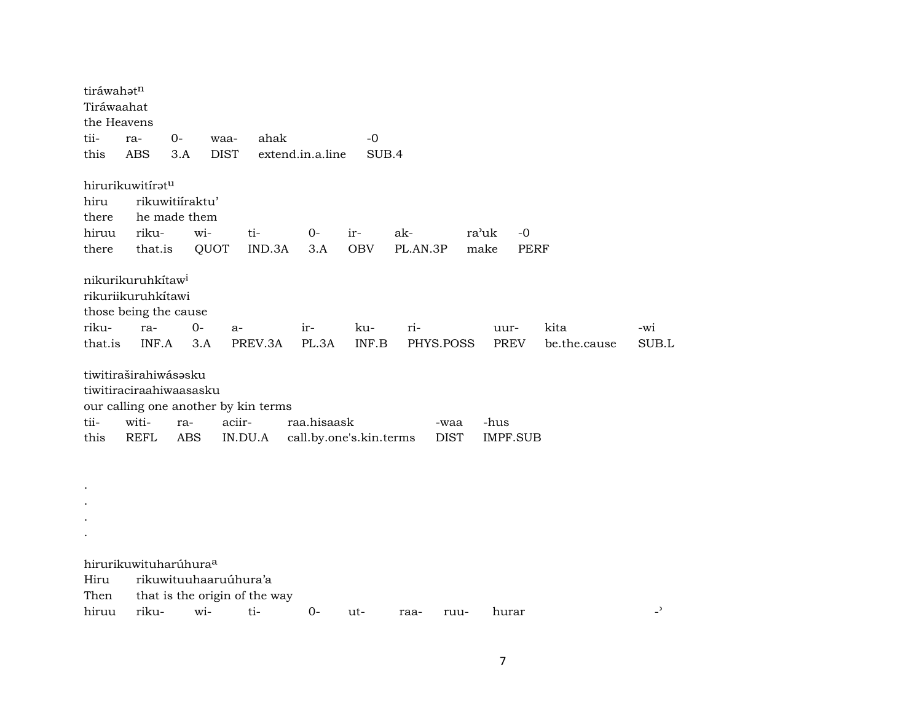| tiráwahət <sup>n</sup><br>Tiráwaahat<br>the Heavens |                                                                              |            |                       |                                                 |                                        |                   |                 |                     |                         |              |                          |
|-----------------------------------------------------|------------------------------------------------------------------------------|------------|-----------------------|-------------------------------------------------|----------------------------------------|-------------------|-----------------|---------------------|-------------------------|--------------|--------------------------|
| tii-                                                | ra-                                                                          | $0-$       | waa-                  | ahak                                            |                                        | $-0$              |                 |                     |                         |              |                          |
| this                                                | <b>ABS</b>                                                                   | 3.A        | <b>DIST</b>           |                                                 | extend.in.a.line                       | SUB.4             |                 |                     |                         |              |                          |
|                                                     | hirurikuwitírət <sup>u</sup>                                                 |            |                       |                                                 |                                        |                   |                 |                     |                         |              |                          |
| hiru                                                | rikuwitiíraktu'                                                              |            |                       |                                                 |                                        |                   |                 |                     |                         |              |                          |
| there                                               | he made them                                                                 |            |                       |                                                 |                                        |                   |                 |                     |                         |              |                          |
| hiruu<br>there                                      | riku-<br>that.is                                                             |            | wi-<br>QUOT           | ti-<br>IND.3A                                   | 0-<br>3.A                              | ir-<br><b>OBV</b> | ak-<br>PL.AN.3P | ra'uk<br>make       | $-0$<br>PERF            |              |                          |
|                                                     | nikurikuruhkítaw <sup>i</sup><br>rikuriikuruhkítawi<br>those being the cause |            |                       |                                                 |                                        |                   |                 |                     |                         |              |                          |
| riku-                                               | ra-                                                                          | $0-$       | a-                    |                                                 | $ir-$                                  | ku-               | ri-             |                     | uur-                    | kita         | -wi                      |
| that.is                                             | INF.A                                                                        |            | 3.A                   | PREV.3A                                         | PL.3A                                  | INF.B             | PHYS.POSS       |                     | <b>PREV</b>             | be.the.cause | SUB.L                    |
| tii-<br>this                                        | tiwitiraširahiwásəsku<br>tiwitiraciraahiwaasasku<br>witi-<br><b>REFL</b>     | ra-<br>ABS | aciir-                | our calling one another by kin terms<br>IN.DU.A | raa.hisaask<br>call.by.one's.kin.terms |                   |                 | -waa<br><b>DIST</b> | -hus<br><b>IMPF.SUB</b> |              |                          |
|                                                     |                                                                              |            |                       |                                                 |                                        |                   |                 |                     |                         |              |                          |
|                                                     | hirurikuwituharúhura <sup>a</sup>                                            |            |                       |                                                 |                                        |                   |                 |                     |                         |              |                          |
| Hiru                                                |                                                                              |            | rikuwituuhaaruúhura'a |                                                 |                                        |                   |                 |                     |                         |              |                          |
| Then                                                |                                                                              |            |                       | that is the origin of the way                   |                                        |                   |                 |                     |                         |              |                          |
| hiruu                                               | riku-                                                                        |            | wi-                   | ti-                                             | 0-                                     | ut-               | raa-            | ruu-                | hurar                   |              | $\overline{\phantom{0}}$ |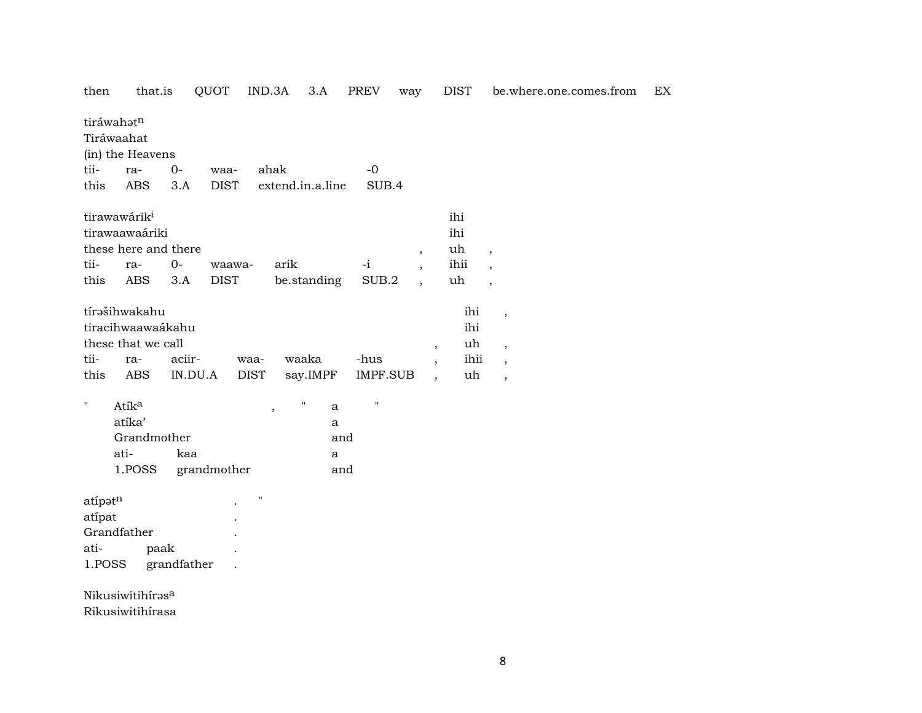| then               | that.is                  |             | QUOT        | IND.3A                   | 3.A              |     | PREV               | way                      |                          | DIST | be.where.one.comes.from  | EX |
|--------------------|--------------------------|-------------|-------------|--------------------------|------------------|-----|--------------------|--------------------------|--------------------------|------|--------------------------|----|
|                    | tiráwahatn               |             |             |                          |                  |     |                    |                          |                          |      |                          |    |
|                    | Tiráwaahat               |             |             |                          |                  |     |                    |                          |                          |      |                          |    |
|                    | (in) the Heavens         |             |             |                          |                  |     |                    |                          |                          |      |                          |    |
| tii-               | ra-                      | $0-$        | waa-        | ahak                     |                  |     | $-0$               |                          |                          |      |                          |    |
| this               | <b>ABS</b>               | 3.A         | <b>DIST</b> |                          | extend.in.a.line |     | SUB.4              |                          |                          |      |                          |    |
|                    | tirawawárik <sup>i</sup> |             |             |                          |                  |     |                    |                          |                          | ihi  |                          |    |
|                    | tirawaawaáriki           |             |             |                          |                  |     |                    |                          |                          | ihi  |                          |    |
|                    | these here and there     |             |             |                          |                  |     |                    | $\overline{\phantom{a}}$ |                          | uh   | $\overline{\phantom{a}}$ |    |
| tii-               | ra-                      | $O -$       | waawa-      |                          | arik             |     | $-i$               | $\overline{\phantom{a}}$ |                          | ihii | $\ddot{\phantom{0}}$     |    |
| this               | <b>ABS</b>               | 3.A         | <b>DIST</b> |                          | be.standing      |     | SUB.2              |                          |                          | uh   | $\overline{\phantom{a}}$ |    |
|                    | tírašihwakahu            |             |             |                          |                  |     |                    |                          |                          | ihi  | $\overline{\phantom{a}}$ |    |
|                    | tiracihwaawaákahu        |             |             |                          |                  |     |                    |                          |                          | ihi  |                          |    |
|                    | these that we call       |             |             |                          |                  |     |                    |                          | $\overline{\phantom{a}}$ | uh   | $\overline{\phantom{a}}$ |    |
| tii-               | ra-                      | aciir-      |             | waa-                     | waaka            |     | -hus               |                          | $\overline{\phantom{a}}$ | ihii | $\overline{\phantom{a}}$ |    |
| this               | <b>ABS</b>               | IN.DU.A     |             | <b>DIST</b>              | say.IMPF         |     | IMPF.SUB           |                          | $\overline{\phantom{a}}$ | uh   | $\overline{\phantom{a}}$ |    |
| $\pmb{\mathsf{H}}$ | Atík <sup>a</sup>        |             |             | $\overline{\phantom{a}}$ | $\blacksquare$   | a   | $\pmb{\mathsf{H}}$ |                          |                          |      |                          |    |
|                    | atíka'                   |             |             |                          |                  | a   |                    |                          |                          |      |                          |    |
|                    | Grandmother              |             |             |                          |                  | and |                    |                          |                          |      |                          |    |
|                    | ati-                     | kaa         |             |                          |                  | a   |                    |                          |                          |      |                          |    |
|                    | 1.POSS                   |             | grandmother |                          |                  | and |                    |                          |                          |      |                          |    |
| atípatn            |                          |             |             | $\blacksquare$           |                  |     |                    |                          |                          |      |                          |    |
| atípat             |                          |             |             |                          |                  |     |                    |                          |                          |      |                          |    |
|                    | Grandfather              |             |             |                          |                  |     |                    |                          |                          |      |                          |    |
| ati-               |                          | paak        |             |                          |                  |     |                    |                          |                          |      |                          |    |
| 1.POSS             |                          | grandfather |             |                          |                  |     |                    |                          |                          |      |                          |    |
|                    | Nikusiwitihírasa         |             |             |                          |                  |     |                    |                          |                          |      |                          |    |
|                    |                          |             |             |                          |                  |     |                    |                          |                          |      |                          |    |

Rikusiwitihírasa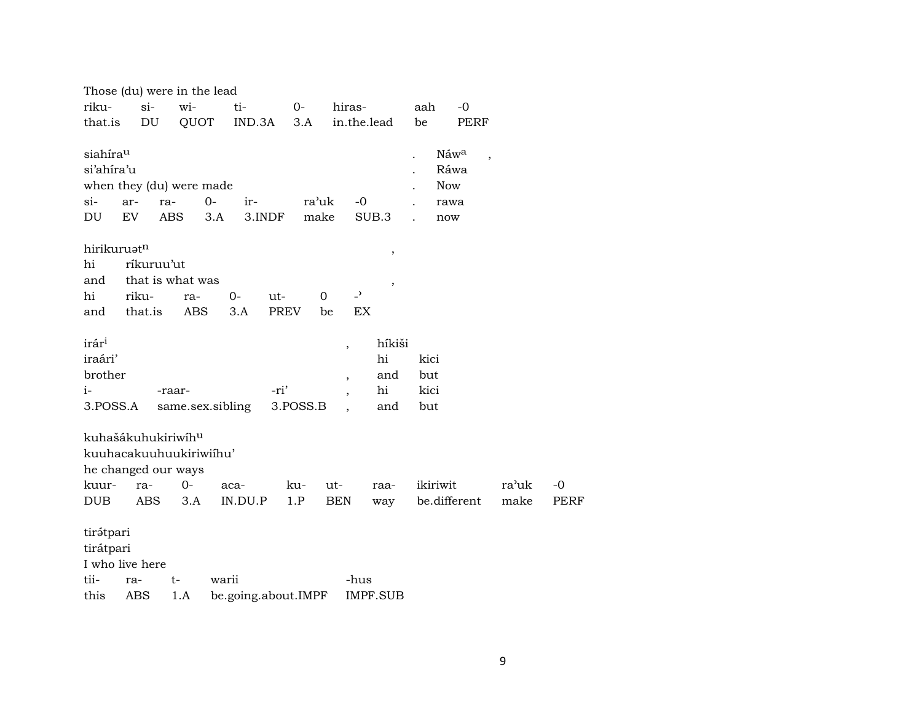|                                                                                                  | Those (du) were in the lead           |                  |             |             |                     |        |               |             |                                    |                |                     |             |                                                       |                          |               |
|--------------------------------------------------------------------------------------------------|---------------------------------------|------------------|-------------|-------------|---------------------|--------|---------------|-------------|------------------------------------|----------------|---------------------|-------------|-------------------------------------------------------|--------------------------|---------------|
| riku-                                                                                            | wi-<br>$si-$<br>ti-<br>$0-$<br>hiras- |                  |             |             |                     |        |               |             |                                    |                |                     | aah         |                                                       | -0                       |               |
| that.is                                                                                          |                                       | DU               | QUOT        |             | $IND.3A$ $3.A$      |        |               |             |                                    |                | in.the.lead         | be          |                                                       | PERF                     |               |
| siahíra <sup>u</sup><br>si'ahira'u<br>when they (du) were made<br>$si-$<br>DU                    | ar-<br>EV                             | ra-              | ABS         | $0-$<br>3.A | ir-                 | 3.INDF | ra'uk<br>make |             |                                    | -0             | SUB.3               |             | Náw <sup>a</sup><br>Ráwa<br><b>Now</b><br>rawa<br>now | $\overline{\phantom{a}}$ |               |
| hirikuruat <sup>n</sup>                                                                          |                                       |                  |             |             |                     |        |               |             |                                    |                | $\,$                |             |                                                       |                          |               |
| hi                                                                                               |                                       | ríkuruu'ut       |             |             |                     |        |               |             |                                    |                |                     |             |                                                       |                          |               |
| and                                                                                              |                                       | that is what was |             |             |                     |        |               |             |                                    |                | $\,$                |             |                                                       |                          |               |
| hi                                                                                               | riku-                                 |                  | ra-         |             | $0-$                | ut-    |               | $\mathbf 0$ |                                    | $\overline{z}$ |                     |             |                                                       |                          |               |
| and that.is                                                                                      |                                       |                  | ABS         |             | 3.A                 | PREV   |               | be          |                                    | EX             |                     |             |                                                       |                          |               |
| irár <sup>i</sup><br>iraári'<br>brother                                                          |                                       |                  |             |             |                     |        |               |             | $\, ,$                             |                | híkiši<br>hi<br>and | kici<br>but |                                                       |                          |               |
| i-                                                                                               |                                       |                  | -raar-      |             |                     | -ri'   |               |             | $\, ,$<br>$\overline{\phantom{a}}$ |                | hi                  | kici        |                                                       |                          |               |
| 3.POSS.A                                                                                         |                                       |                  |             |             | same.sex.sibling    |        | 3.POSS.B      |             |                                    |                | and                 | but         |                                                       |                          |               |
| kuhašákuhukiriwíh <sup>u</sup><br>kuuhacakuuhuukiriwiihu'<br>he changed our ways<br>kuur-<br>DUB |                                       | ra-<br>ABS       | $0-$<br>3.A |             | aca-<br>IN.DU.P     |        | ku-<br>1.P    |             | ut-<br>BEN                         |                | raa-<br>way         |             | ikiriwit                                              | be.different             | ra'uk<br>make |
| tirátpari                                                                                        |                                       |                  |             |             |                     |        |               |             |                                    |                |                     |             |                                                       |                          |               |
| tirátpari                                                                                        |                                       |                  |             |             |                     |        |               |             |                                    |                |                     |             |                                                       |                          |               |
| I who live here<br>tii-                                                                          | ra-                                   |                  | t-          | warii       |                     |        |               |             |                                    | -hus           |                     |             |                                                       |                          |               |
| this                                                                                             | ABS                                   |                  | 1.A         |             | be.going.about.IMPF |        |               |             |                                    |                | <b>IMPF.SUB</b>     |             |                                                       |                          |               |

 $-0$ PERF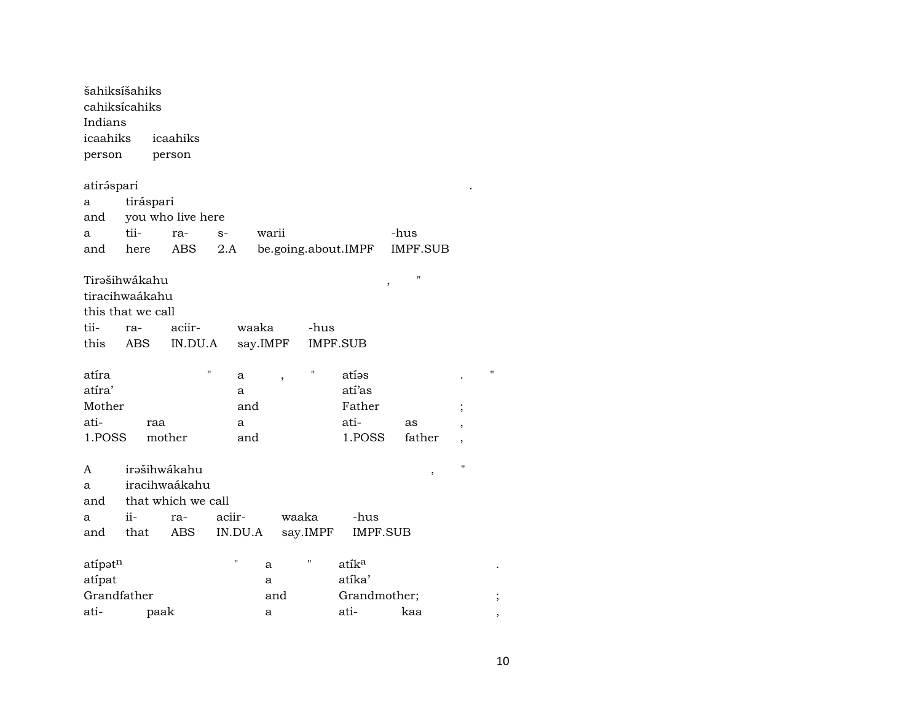| šahiksíšahiks     |           |                    |         |          |       |                    |                     |                        |                          |                    |
|-------------------|-----------|--------------------|---------|----------|-------|--------------------|---------------------|------------------------|--------------------------|--------------------|
| cahiksícahiks     |           |                    |         |          |       |                    |                     |                        |                          |                    |
| Indians           |           |                    |         |          |       |                    |                     |                        |                          |                    |
| icaahiks          |           | icaahiks           |         |          |       |                    |                     |                        |                          |                    |
| person            |           | person             |         |          |       |                    |                     |                        |                          |                    |
| atiráspari        |           |                    |         |          |       |                    |                     |                        |                          |                    |
| a                 | tiráspari |                    |         |          |       |                    |                     |                        |                          |                    |
| and               |           | you who live here  |         |          |       |                    |                     |                        |                          |                    |
| a                 | tii-      | ra-                | $S-$    | warii    |       |                    |                     | -hus                   |                          |                    |
| and               | here      | <b>ABS</b>         | 2.A     |          |       |                    | be.going.about.IMPF | <b>IMPF.SUB</b>        |                          |                    |
| Tirašihwákahu     |           |                    |         |          |       |                    |                     | $\blacksquare$<br>$\,$ |                          |                    |
| tiracihwaákahu    |           |                    |         |          |       |                    |                     |                        |                          |                    |
| this that we call |           |                    |         |          |       |                    |                     |                        |                          |                    |
| tii-              | ra-       | aciir-             |         | waaka    |       | -hus               |                     |                        |                          |                    |
| this              | ABS       | IN.DU.A            |         | say.IMPF |       |                    | <b>IMPF.SUB</b>     |                        |                          |                    |
|                   |           |                    |         |          |       |                    |                     |                        |                          |                    |
| atíra             |           | $^{\prime}$        | a       |          |       | $^{\prime}$        | atíos               |                        |                          | $\pmb{\mathsf{H}}$ |
| atíra'            |           |                    | a       |          |       |                    | atí'as              |                        |                          |                    |
| Mother            |           |                    | and     |          |       |                    | Father              |                        | $\vdots$                 |                    |
| ati-              |           | raa                | a       |          |       |                    | ati-                | as                     | $\overline{\phantom{a}}$ |                    |
| 1.POSS            |           | mother             | and     |          |       |                    | 1.POSS              | father                 | $\overline{\phantom{a}}$ |                    |
|                   |           |                    |         |          |       |                    |                     |                        |                          |                    |
| A                 |           | irəšihwákahu       |         |          |       |                    |                     | ,                      | $\mathbf{H}$             |                    |
| a                 |           | iracihwaákahu      |         |          |       |                    |                     |                        |                          |                    |
| and               |           | that which we call |         |          |       |                    |                     |                        |                          |                    |
| a                 | ii-       | ra-                | aciir-  |          | waaka |                    | -hus                |                        |                          |                    |
| and               | that      | ABS                | IN.DU.A |          |       | say.IMPF           | <b>IMPF.SUB</b>     |                        |                          |                    |
| atípatn           |           |                    | П       | a        |       | $\pmb{\mathsf{H}}$ | atík <sup>a</sup>   |                        |                          |                    |
| atípat            |           |                    |         | a        |       |                    | atíka'              |                        |                          |                    |
| Grandfather       |           |                    |         | and      |       |                    | Grandmother;        |                        |                          |                    |
| ati-              |           | paak               |         | a        |       |                    | ati-                | kaa                    |                          |                    |
|                   |           |                    |         |          |       |                    |                     |                        |                          |                    |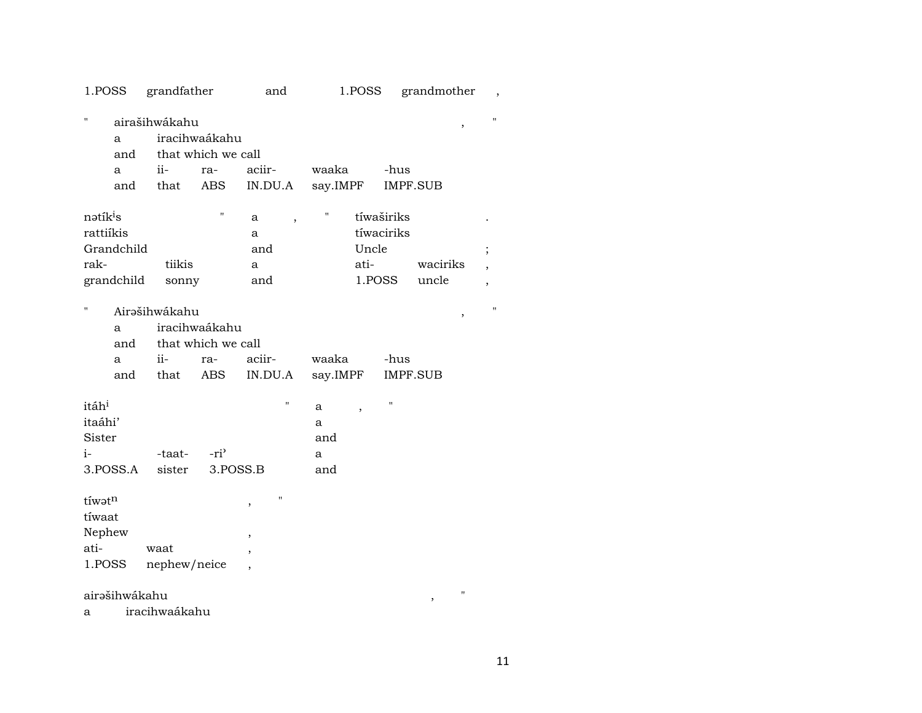| 1.POSS               |               | grandfather   |                                     | and                           |          | 1.POSS                   |                    | grandmother                  | $\overline{\phantom{a}}$ |
|----------------------|---------------|---------------|-------------------------------------|-------------------------------|----------|--------------------------|--------------------|------------------------------|--------------------------|
| 11                   | a<br>and      | airašihwákahu | iracihwaákahu<br>that which we call |                               |          |                          |                    | $\,$                         | н                        |
|                      | a             | ii-           | ra-                                 | aciir-                        | waaka    |                          | -hus               |                              |                          |
|                      | and           | that          | ABS                                 | IN.DU.A                       | say.IMPF |                          |                    | <b>IMPF.SUB</b>              |                          |
| nətik <sup>i</sup> s |               |               | $\pmb{\mathsf{H}}$                  | a<br>$\overline{\phantom{a}}$ | Η        |                          | tíwaširiks         |                              |                          |
| rattiíkis            |               |               |                                     | a                             |          |                          | tíwaciriks         |                              |                          |
|                      | Grandchild    |               |                                     | and                           |          | Uncle                    |                    |                              | $\vdots$                 |
| rak-                 |               | tiikis        |                                     | a                             |          | ati-                     |                    | waciriks                     | $\overline{\phantom{a}}$ |
|                      | grandchild    | sonny         |                                     | and                           |          |                          | 1.POSS             | uncle                        | $\overline{ }$           |
|                      |               |               |                                     |                               |          |                          |                    |                              |                          |
| "                    |               | Airəšihwákahu |                                     |                               |          |                          |                    | $\, ,$                       | $\pmb{\mathsf{H}}$       |
|                      | a             |               | iracihwaákahu                       |                               |          |                          |                    |                              |                          |
|                      | and           |               | that which we call                  |                               |          |                          |                    |                              |                          |
|                      | a             | ii-           | ra-                                 | aciir-                        | waaka    |                          | -hus               |                              |                          |
|                      | and           | that          | ABS                                 | IN.DU.A                       | say.IMPF |                          |                    | <b>IMPF.SUB</b>              |                          |
|                      |               |               |                                     |                               |          |                          |                    |                              |                          |
| itáh <sup>i</sup>    |               |               |                                     | П                             | a        | $\overline{\phantom{a}}$ | $\pmb{\mathsf{H}}$ |                              |                          |
| itaáhi'              |               |               |                                     |                               | a        |                          |                    |                              |                          |
| Sister               |               |               |                                     |                               | and      |                          |                    |                              |                          |
| $i-$                 |               | -taat-        | $-ri$                               |                               | a        |                          |                    |                              |                          |
|                      | 3.POSS.A      | sister        | 3.POSS.B                            |                               | and      |                          |                    |                              |                          |
|                      |               |               |                                     |                               |          |                          |                    |                              |                          |
| tíwatn               |               |               |                                     | Ħ<br>,                        |          |                          |                    |                              |                          |
| tíwaat               |               |               |                                     |                               |          |                          |                    |                              |                          |
| Nephew               |               |               |                                     | $\overline{\phantom{a}}$      |          |                          |                    |                              |                          |
| ati-                 |               | waat          |                                     |                               |          |                          |                    |                              |                          |
| 1.POSS               |               | nephew/neice  |                                     |                               |          |                          |                    |                              |                          |
|                      |               |               |                                     |                               |          |                          |                    |                              |                          |
|                      | airəšihwákahu |               |                                     |                               |          |                          |                    | $\pmb{\mathsf{H}}$<br>$\, ,$ |                          |

iracihwaákahu  $\mathbf{a}$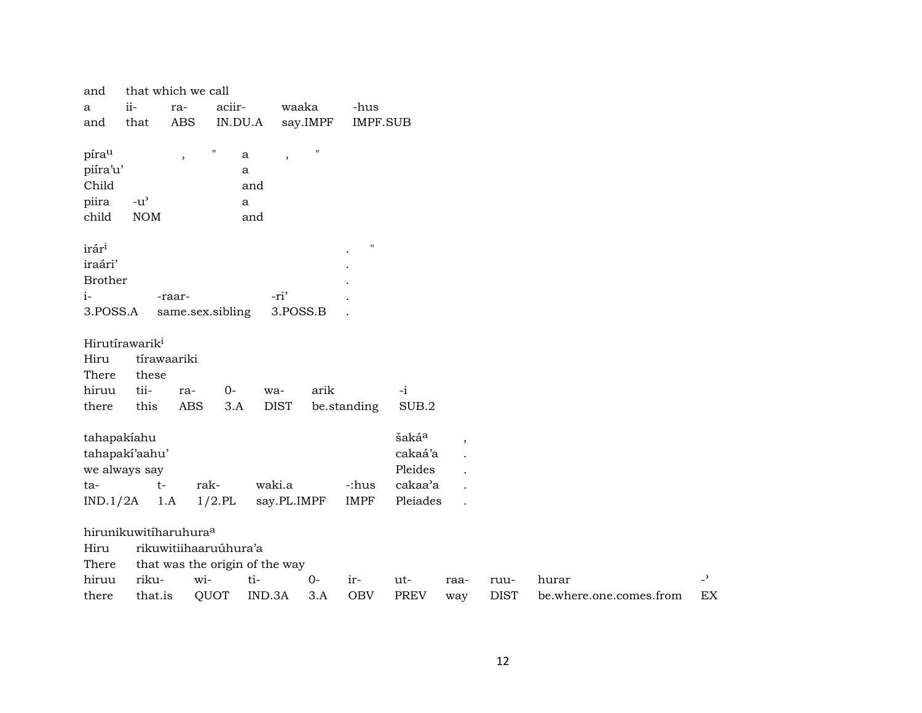| and               |                                   | that which we call       |                    |                                          |              |                    |                   |         |             |                         |                |
|-------------------|-----------------------------------|--------------------------|--------------------|------------------------------------------|--------------|--------------------|-------------------|---------|-------------|-------------------------|----------------|
| $\mathbf{a}$      | ii-                               | ra-                      | aciir-             |                                          | waaka        | -hus               |                   |         |             |                         |                |
| and               | that                              | <b>ABS</b>               | IN.DU.A            |                                          | say.IMPF     | <b>IMPF.SUB</b>    |                   |         |             |                         |                |
| pírau             |                                   | $\overline{\phantom{a}}$ | $\pmb{\mathsf{H}}$ | $\mathbf{a}$<br>$\overline{\phantom{a}}$ | $\mathbf{H}$ |                    |                   |         |             |                         |                |
| piíra'u'          |                                   |                          |                    | a                                        |              |                    |                   |         |             |                         |                |
| Child             |                                   |                          |                    | and                                      |              |                    |                   |         |             |                         |                |
| piira             | $-u^{\prime}$                     |                          |                    | $\mathbf{a}$                             |              |                    |                   |         |             |                         |                |
| child             | $\rm{NOM}$                        |                          |                    | and                                      |              |                    |                   |         |             |                         |                |
| irár <sup>i</sup> |                                   |                          |                    |                                          |              | $\pmb{\mathsf{H}}$ |                   |         |             |                         |                |
| iraári'           |                                   |                          |                    |                                          |              |                    |                   |         |             |                         |                |
| <b>Brother</b>    |                                   |                          |                    |                                          |              |                    |                   |         |             |                         |                |
| $i-$              |                                   | -raar-                   |                    | -ri'                                     |              |                    |                   |         |             |                         |                |
| 3.POSS.A          |                                   | same.sex.sibling         |                    |                                          | 3.POSS.B     |                    |                   |         |             |                         |                |
|                   | Hirutírawarik <sup>i</sup>        |                          |                    |                                          |              |                    |                   |         |             |                         |                |
| Hiru              |                                   | tírawaariki              |                    |                                          |              |                    |                   |         |             |                         |                |
| There             | these                             |                          |                    |                                          |              |                    |                   |         |             |                         |                |
| hiruu             | tii-                              | ra-                      | $0-$               | wa-                                      | arik         |                    | $-i$              |         |             |                         |                |
| there             | this                              | <b>ABS</b>               | 3.A                | <b>DIST</b>                              |              | be.standing        | SUB.2             |         |             |                         |                |
|                   | tahapakiahu                       |                          |                    |                                          |              |                    | šaká <sup>a</sup> | $\cdot$ |             |                         |                |
|                   | tahapaki'aahu'                    |                          |                    |                                          |              |                    | cakaá'a           |         |             |                         |                |
|                   | we always say                     |                          |                    |                                          |              |                    | Pleides           |         |             |                         |                |
| ta-               | $t-$                              |                          | rak-               | waki.a                                   |              | -:hus              | cakaa'a           |         |             |                         |                |
| IND.1/2A          |                                   | 1.A                      | $1/2$ .PL          | say.PL.IMPF                              |              | <b>IMPF</b>        | Pleiades          |         |             |                         |                |
|                   | hirunikuwitíharuhura <sup>a</sup> |                          |                    |                                          |              |                    |                   |         |             |                         |                |
| Hiru              |                                   | rikuwitiihaaruúhura'a    |                    |                                          |              |                    |                   |         |             |                         |                |
| There             |                                   |                          |                    | that was the origin of the way           |              |                    |                   |         |             |                         |                |
| hiruu             | riku-                             | wi-                      |                    | ti-                                      | $O -$        | ir-                | ut-               | raa-    | ruu-        | hurar                   | $\overline{a}$ |
| there             | that.is                           |                          | QUOT               | IND.3A                                   | 3.A          | <b>OBV</b>         | PREV              | way     | <b>DIST</b> | be.where.one.comes.from | EX             |
|                   |                                   |                          |                    |                                          |              |                    |                   |         |             |                         |                |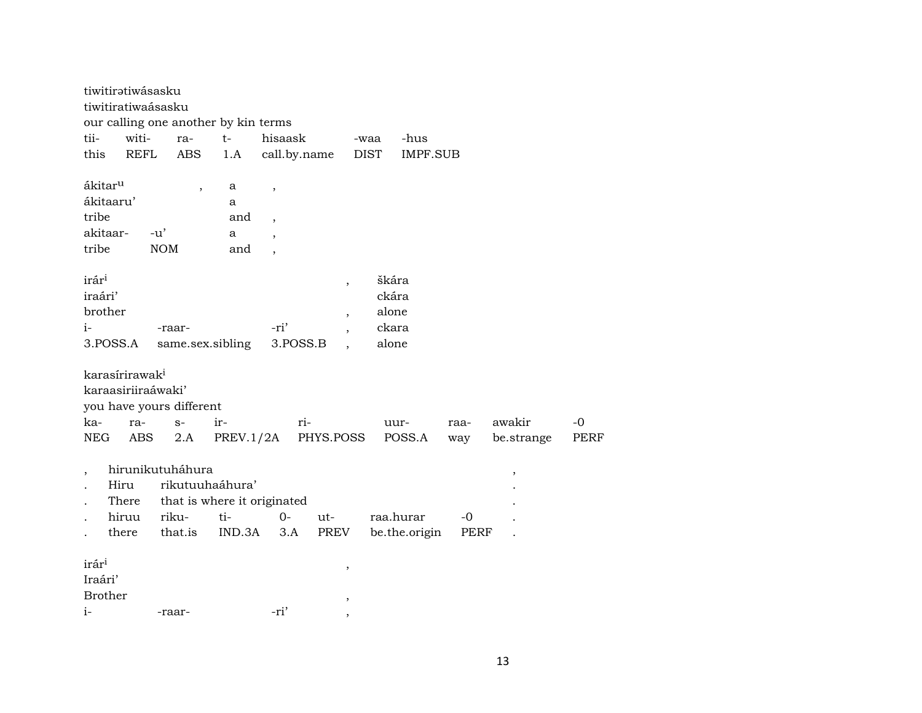|                          | tiwitiratiwásasku                                |                          |                                              |                          |                          |                     |                 |      |            |      |
|--------------------------|--------------------------------------------------|--------------------------|----------------------------------------------|--------------------------|--------------------------|---------------------|-----------------|------|------------|------|
|                          | tiwitiratiwaásasku                               |                          |                                              |                          |                          |                     |                 |      |            |      |
| tii-                     | witi-                                            | ra-                      | our calling one another by kin terms<br>$t-$ | hisaask                  |                          |                     | -hus            |      |            |      |
| this                     | <b>REFL</b>                                      | <b>ABS</b>               | 1.A                                          | call.by.name             |                          | -waa<br><b>DIST</b> | <b>IMPF.SUB</b> |      |            |      |
|                          |                                                  |                          |                                              |                          |                          |                     |                 |      |            |      |
| ákitar <sup>u</sup>      |                                                  | $\, ,$                   | a                                            | $\, ,$                   |                          |                     |                 |      |            |      |
| ákitaaru'                |                                                  |                          | a                                            |                          |                          |                     |                 |      |            |      |
| tribe                    |                                                  |                          | and                                          | $\overline{\phantom{a}}$ |                          |                     |                 |      |            |      |
| akitaar-                 |                                                  | $-u'$                    | a                                            | $\ddot{\phantom{0}}$     |                          |                     |                 |      |            |      |
| tribe                    |                                                  | <b>NOM</b>               | and                                          |                          |                          |                     |                 |      |            |      |
|                          |                                                  |                          |                                              |                          |                          |                     |                 |      |            |      |
| irár <sup>i</sup>        |                                                  |                          |                                              |                          | $\overline{\phantom{a}}$ | škára               |                 |      |            |      |
| iraári'                  |                                                  |                          |                                              |                          |                          | ckára               |                 |      |            |      |
| brother                  |                                                  |                          |                                              |                          | $\overline{\phantom{a}}$ | alone               |                 |      |            |      |
| $i-$                     |                                                  | -raar-                   |                                              | -ri'                     | $\cdot$                  | ckara               |                 |      |            |      |
|                          | 3.POSS.A                                         | same.sex.sibling         |                                              | 3.POSS.B                 | $\overline{\phantom{a}}$ | alone               |                 |      |            |      |
|                          |                                                  |                          |                                              |                          |                          |                     |                 |      |            |      |
|                          | karasírirawak <sup>i</sup><br>karaasiriiraáwaki' |                          |                                              |                          |                          |                     |                 |      |            |      |
|                          |                                                  | you have yours different |                                              |                          |                          |                     |                 |      |            |      |
| ka-                      | ra-                                              | $S-$                     | ir-                                          | ri-                      |                          |                     | uur-            | raa- | awakir     | $-0$ |
| NEG                      | ABS                                              | 2.A                      | PREV.1/2A                                    |                          | PHYS.POSS                |                     | POSS.A          | way  | be.strange | PERF |
|                          |                                                  |                          |                                              |                          |                          |                     |                 |      |            |      |
| $\overline{\phantom{a}}$ |                                                  | hirunikutuháhura         |                                              |                          |                          |                     |                 |      | ,          |      |
|                          | Hiru                                             | rikutuuhaáhura'          |                                              |                          |                          |                     |                 |      |            |      |
|                          | There                                            |                          | that is where it originated                  |                          |                          |                     |                 |      |            |      |
|                          | hiruu                                            | riku-                    | ti-                                          | 0-                       | ut-                      |                     | raa.hurar       | $-0$ |            |      |
|                          | there                                            | that.is                  | IND.3A                                       | 3.A                      | PREV                     |                     | be.the.origin   | PERF |            |      |
|                          |                                                  |                          |                                              |                          |                          |                     |                 |      |            |      |
| irár <sup>i</sup>        |                                                  |                          |                                              |                          | ,                        |                     |                 |      |            |      |
| Iraári'                  |                                                  |                          |                                              |                          |                          |                     |                 |      |            |      |
| <b>Brother</b>           |                                                  |                          |                                              |                          | ,                        |                     |                 |      |            |      |
| $i-$                     |                                                  | -raar-                   |                                              | -ri'                     | $\overline{\phantom{a}}$ |                     |                 |      |            |      |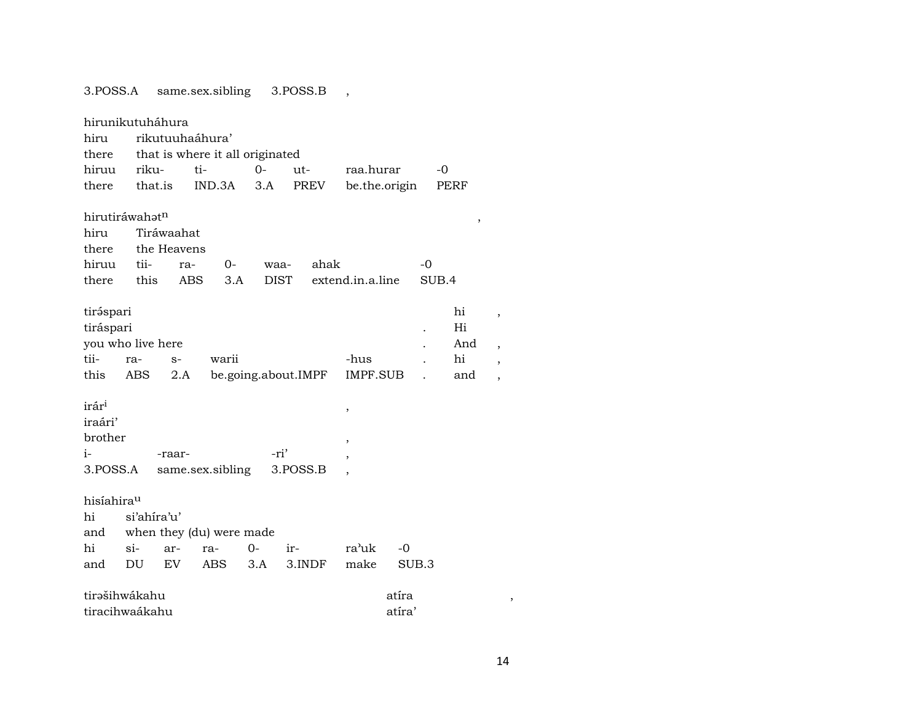| 0.1 000.11                                                  |                                |                                         | banic.ocorg                                        |                     | $0.1$ ONN.D |      |                  |        |             |                 |
|-------------------------------------------------------------|--------------------------------|-----------------------------------------|----------------------------------------------------|---------------------|-------------|------|------------------|--------|-------------|-----------------|
| hiru<br>there                                               | hirunikutuháhura               |                                         | rikutuuhaáhura'<br>that is where it all originated |                     |             |      |                  |        |             |                 |
| hiruu                                                       | riku-                          |                                         | ti-                                                | $O -$               | ut-         |      | raa.hurar        |        | $-0$        |                 |
| there                                                       | that.is                        |                                         | IND.3A                                             | 3.A                 |             | PREV | be.the.origin    |        |             | PERF            |
| hiru<br>there<br>hiruu<br>there                             | hirutiráwahatn<br>tii-<br>this | Tiráwaahat<br>the Heavens<br>ra-<br>ABS | $O -$<br>3.A                                       | waa-<br><b>DIST</b> |             | ahak | extend.in.a.line |        | -0<br>SUB.4 | $\,$            |
|                                                             |                                |                                         |                                                    |                     |             |      |                  |        |             |                 |
| tiráspari<br>tiráspari<br>tii-                              | you who live here              |                                         |                                                    |                     |             |      |                  |        |             | hi<br>Hi<br>And |
|                                                             | ra-                            | $S-$                                    | warii                                              |                     |             |      | -hus             |        |             | hi              |
| this                                                        | ABS                            | 2.A                                     |                                                    | be.going.about.IMPF |             |      | IMPF.SUB         |        |             | and             |
| irár <sup>i</sup><br>iraári'<br>brother<br>$i-$<br>3.POSS.A |                                | -raar-                                  | same.sex.sibling                                   | -ri'                | 3.POSS.B    |      | $\,$<br>,        |        |             |                 |
|                                                             |                                |                                         |                                                    |                     |             |      |                  |        |             |                 |
| hisíahirau                                                  |                                |                                         |                                                    |                     |             |      |                  |        |             |                 |
| hi                                                          | si'ahíra'u'                    |                                         |                                                    |                     |             |      |                  |        |             |                 |
| and                                                         |                                |                                         | when they (du) were made                           |                     |             |      |                  |        |             |                 |
| hi                                                          | $\sin$                         | ar-                                     | ra-                                                | 0-                  | ir-         |      | ra'uk            | -0     |             |                 |
| and                                                         | DU                             | EV                                      | ABS                                                | 3.A                 | 3.INDF      |      | make             | SUB.3  |             |                 |
|                                                             | tirašihwákahu                  |                                         |                                                    |                     |             |      |                  | atíra  |             |                 |
|                                                             | tiracihwaákahu                 |                                         |                                                    |                     |             |      |                  | atíra' |             |                 |

| tirəspari |                   |      |                                      |      |           | hi  |  |
|-----------|-------------------|------|--------------------------------------|------|-----------|-----|--|
| tiráspari |                   |      |                                      |      |           | Hi  |  |
|           | you who live here |      |                                      |      | $\bullet$ | And |  |
| tii-      | ra-               | $S-$ | warii                                | -hus |           | hi  |  |
| this      |                   |      | ABS 2.A be.going.about.IMPF IMPF.SUB |      |           | and |  |
|           |                   |      |                                      |      |           |     |  |

14

 $\overline{\phantom{a}}$ 

3. POSS.A same.sex.sibling 3. POSS.B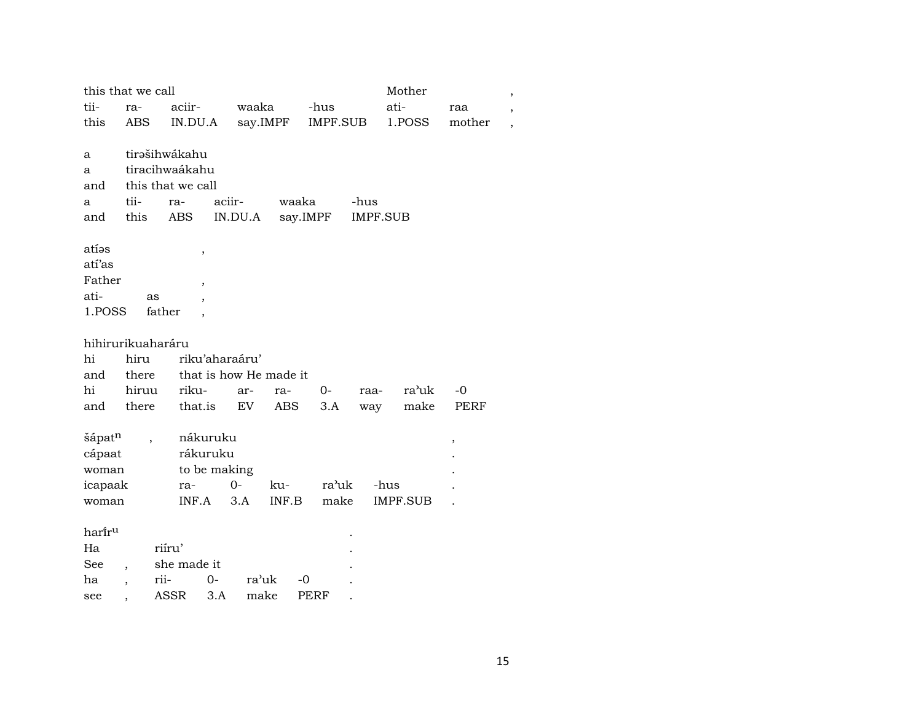|                 | this that we call |                          |          |          |              | Mother          |        | $\overline{\phantom{a}}$ |
|-----------------|-------------------|--------------------------|----------|----------|--------------|-----------------|--------|--------------------------|
| tii-            | ra-               | aciir-                   | waaka    |          | -hus         | ati-            | raa    |                          |
| this            | <b>ABS</b>        | IN.DU.A                  | say.IMPF |          | IMPF.SUB     | 1.POSS          | mother | $\overline{\phantom{a}}$ |
|                 |                   |                          |          |          |              |                 |        |                          |
| a               |                   | tirašihwákahu            |          |          |              |                 |        |                          |
| a               |                   | tiracihwaákahu           |          |          |              |                 |        |                          |
| and             |                   | this that we call        |          |          |              |                 |        |                          |
| a               | tii-              | ra-                      | aciir-   | waaka    | -hus         |                 |        |                          |
| and             | this              | ABS                      | IN.DU.A  | say.IMPF |              | <b>IMPF.SUB</b> |        |                          |
|                 |                   |                          |          |          |              |                 |        |                          |
| atías<br>atí'as |                   | ,                        |          |          |              |                 |        |                          |
| Father          |                   |                          |          |          |              |                 |        |                          |
| ati-            | as                | $\, ,$                   |          |          |              |                 |        |                          |
| 1.POSS          |                   | $\overline{ }$<br>father |          |          |              |                 |        |                          |
|                 |                   |                          |          |          |              |                 |        |                          |
|                 | hihirurikuaharáru |                          |          |          |              |                 |        |                          |
| hi              | hiru              | riku'aharaáru'           |          |          |              |                 |        |                          |
| and             | there             | that is how He made it   |          |          |              |                 |        |                          |
| hi              | hiruu             | riku-                    | ar-      | ra-      | $0-$<br>raa- | ra'uk           | $-0$   |                          |
| and             | there             | that.is                  | EV       | ABS      | 3.A          | make<br>way     | PERF   |                          |
|                 |                   |                          |          |          |              |                 |        |                          |
| šápatn          |                   | nákuruku                 |          |          |              |                 | $\,$   |                          |
| cápaat          |                   | rákuruku                 |          |          |              |                 |        |                          |
| woman           |                   | to be making             |          |          |              |                 |        |                          |
| icapaak         |                   | ra-                      | $O -$    | ku-      | ra'uk        | -hus            |        |                          |
| woman           |                   | INF.A                    | 3.A      | INF.B    | make         | IMPF.SUB        |        |                          |
|                 |                   |                          |          |          |              |                 |        |                          |
| hariru          |                   |                          |          |          |              |                 |        |                          |
| Ha              |                   | riíru'                   |          |          |              |                 |        |                          |
| See             |                   | she made it              |          |          |              |                 |        |                          |
| ha              | rii-              | $0-$                     | ra'uk    | -0       |              |                 |        |                          |
| see             |                   | ASSR<br>3.A              | make     |          | PERF         |                 |        |                          |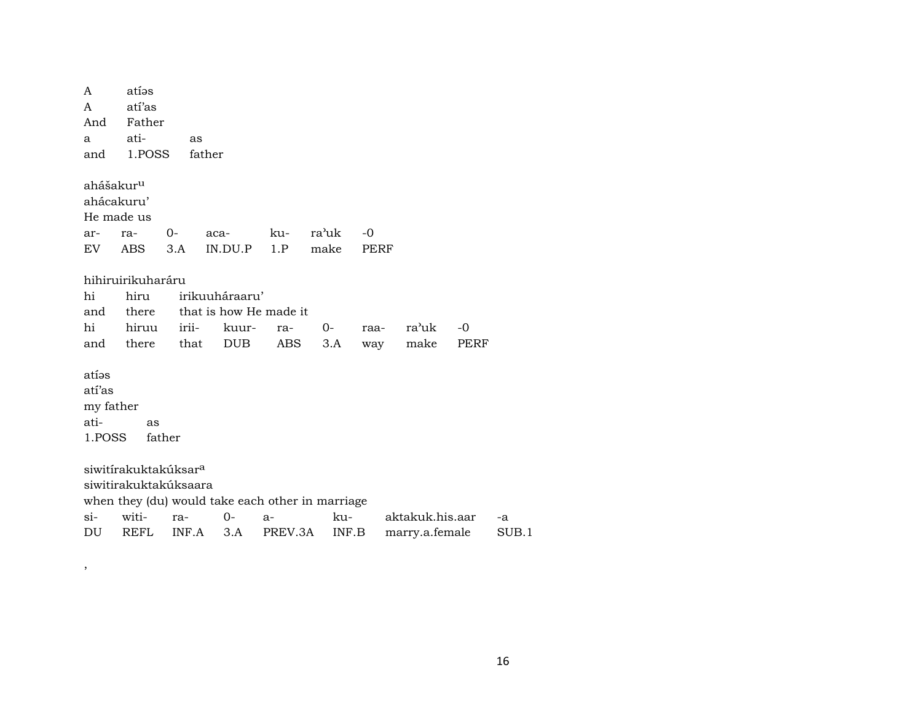A atíos A atí'as And Father a ati- as and 1.POSS father ahášakur<sup>u</sup> ahácakuru' He made us ar- ra- 0- aca- ku- ra"uk -0 EV ABS 3.A IN.DU.P 1.P make PERF hihiruirikuharáru hi hiru irikuuháraaru' and there that is how He made it hi hiruu irii- kuur- ra- 0- raa- ra"uk -0 and there that DUB ABS 3.A way make PERF atíes atí'as my father ati- as 1.POSS father siwitírakuktakúksar<sup>a</sup> siwitirakuktakúksaara when they (du) would take each other in marriage si- witi- ra- 0- a- ku- aktakuk.his.aar -a DU REFL INF.A 3.A PREV.3A INF.B marry.a.female SUB.1

,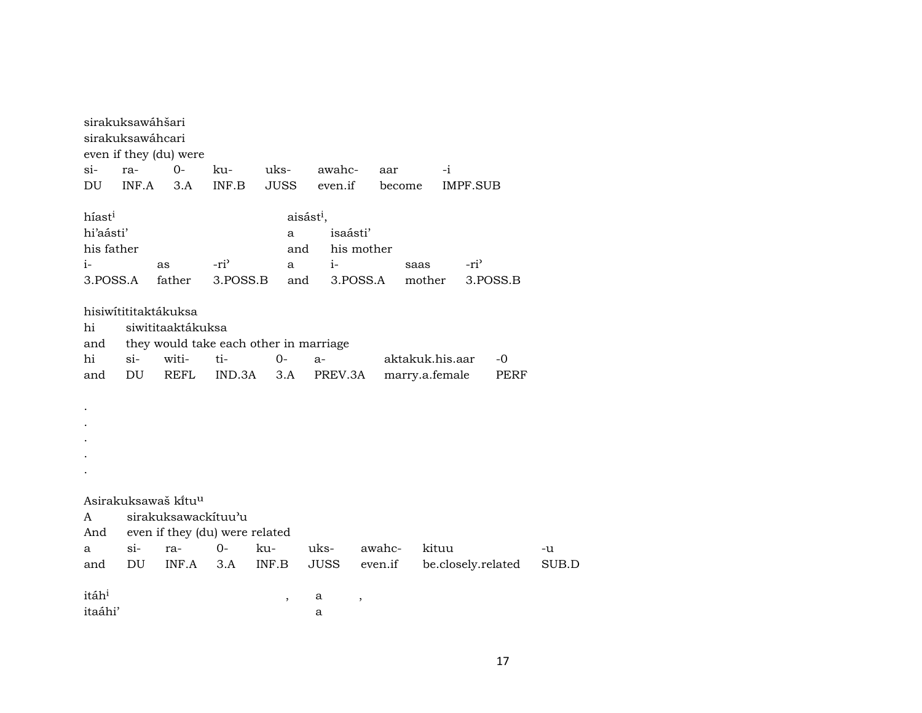| sirakuksawáhšari<br>sirakuksawáhcari |             | even if they (du) were                                                                               |               |              |                       |            |                                   |                    |       |
|--------------------------------------|-------------|------------------------------------------------------------------------------------------------------|---------------|--------------|-----------------------|------------|-----------------------------------|--------------------|-------|
| $\sin$                               | ra-         | $0-$                                                                                                 | ku-           | uks-         | awahc-                | aar        | $-i$                              |                    |       |
| DU                                   | INF.A       | 3.A                                                                                                  | INF.B         | <b>JUSS</b>  | even.if               | become     |                                   | <b>IMPF.SUB</b>    |       |
| híast <sup>i</sup>                   |             |                                                                                                      |               |              | aisást <sup>i</sup> , |            |                                   |                    |       |
| hi'aásti'                            |             |                                                                                                      |               | a            | isaásti'              |            |                                   |                    |       |
| his father                           |             |                                                                                                      |               | and          |                       | his mother |                                   |                    |       |
| $i-$                                 |             | as                                                                                                   | $-ri^2$       | a            | $i-$                  |            | saas                              | -ri <sup>3</sup>   |       |
| 3.POSS.A                             |             | father                                                                                               | 3.POSS.B      | and          |                       | 3.POSS.A   | mother                            | 3.POSS.B           |       |
| hi<br>and<br>hi<br>and               | $si-$<br>DU | hisiwítititaktákuksa<br>siwititaaktákuksa<br>they would take each other in marriage<br>witi-<br>REFL | ti-<br>IND.3A | $0 -$<br>3.A | $a-$<br>PREV.3A       |            | aktakuk.his.aar<br>marry.a.female | $-0$<br>PERF       |       |
|                                      |             |                                                                                                      |               |              |                       |            |                                   |                    |       |
|                                      |             | Asirakuksawaš kitu <sup>u</sup>                                                                      |               |              |                       |            |                                   |                    |       |
| A                                    |             | sirakuksawackituu'u                                                                                  |               |              |                       |            |                                   |                    |       |
| And                                  |             | even if they (du) were related                                                                       |               |              |                       |            |                                   |                    |       |
| a                                    | $si-$       | ra-                                                                                                  | $O -$         | ku-          | uks-                  | awahc-     | kituu                             |                    | -u    |
| and                                  | DU          | INF.A                                                                                                | 3.A           | INF.B        | JUSS                  | even.if    |                                   | be.closely.related | SUB.D |
|                                      |             |                                                                                                      |               |              |                       |            |                                   |                    |       |
| itáh <sup>i</sup>                    |             |                                                                                                      |               | ,            | а                     | ,          |                                   |                    |       |
| itaáhi'                              |             |                                                                                                      |               |              | а                     |            |                                   |                    |       |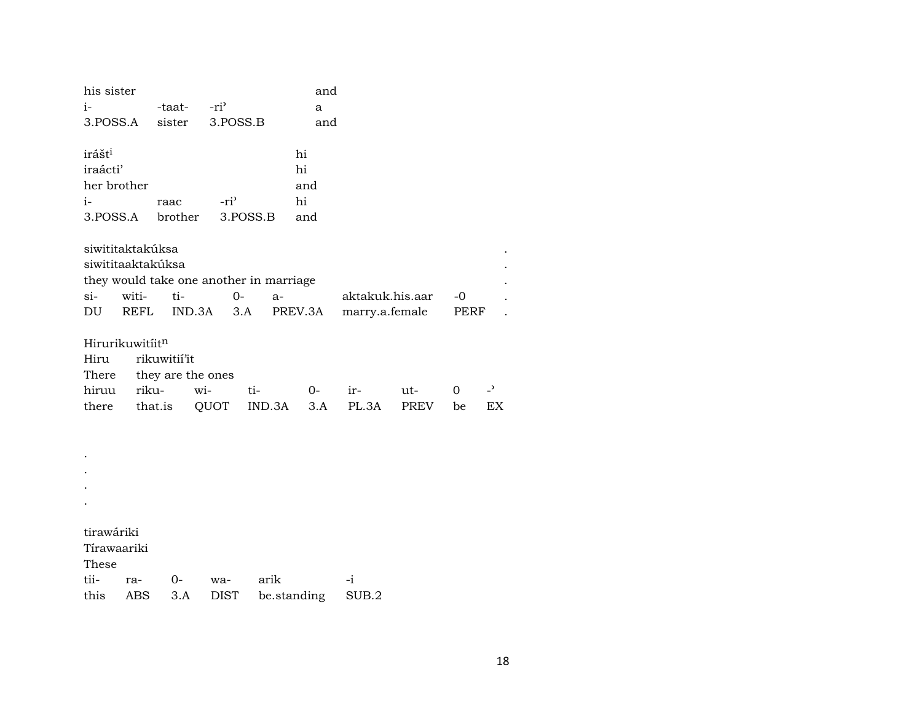| his sister<br>$i-$                                                |       | -taat-                                       | $-ri$                                   |               | and<br>a                     |                 |                    |         |                      |
|-------------------------------------------------------------------|-------|----------------------------------------------|-----------------------------------------|---------------|------------------------------|-----------------|--------------------|---------|----------------------|
| 3.POSS.A                                                          |       | sister                                       | 3.POSS.B                                |               | and                          |                 |                    |         |                      |
| irášt <sup>i</sup><br>iraácti'<br>her brother<br>$i-$<br>3.POSS.A |       | raac<br>brother                              | -ri <sup>3</sup>                        | 3.POSS.B      | hi<br>hi<br>and<br>hi<br>and |                 |                    |         |                      |
| siwititaktakúksa<br>siwititaaktakúksa                             |       |                                              | they would take one another in marriage |               |                              |                 |                    |         |                      |
| si-                                                               | witi- | ti-                                          | $0-$                                    | $a-$          |                              | aktakuk.his.aar |                    | $-0$    |                      |
| DU                                                                | REFL  |                                              | IND.3A<br>3.A                           |               | PREV.3A                      | marry.a.female  |                    | PERF    |                      |
| Hirurikuwitiitn<br>Hiru<br>There<br>hiruu<br>there                | riku- | rikuwitií'it<br>they are the ones<br>that.is | wi-<br>QUOT                             | ti-<br>IND.3A | $0-$<br>3.A                  | ir-<br>PL.3A    | ut-<br><b>PREV</b> | 0<br>be | $\overline{a}$<br>EX |
|                                                                   |       |                                              |                                         |               |                              |                 |                    |         |                      |
|                                                                   |       |                                              |                                         |               |                              |                 |                    |         |                      |
|                                                                   |       |                                              |                                         |               |                              |                 |                    |         |                      |
|                                                                   |       |                                              |                                         |               |                              |                 |                    |         |                      |
| tirawáriki<br>Tírawaariki<br>These                                |       |                                              |                                         |               |                              |                 |                    |         |                      |
| tii-                                                              | ra-   | 0-                                           | wa-                                     | arik          |                              | -i              |                    |         |                      |
| this                                                              | ABS   | 3.A                                          | <b>DIST</b>                             |               | be.standing                  | SUB.2           |                    |         |                      |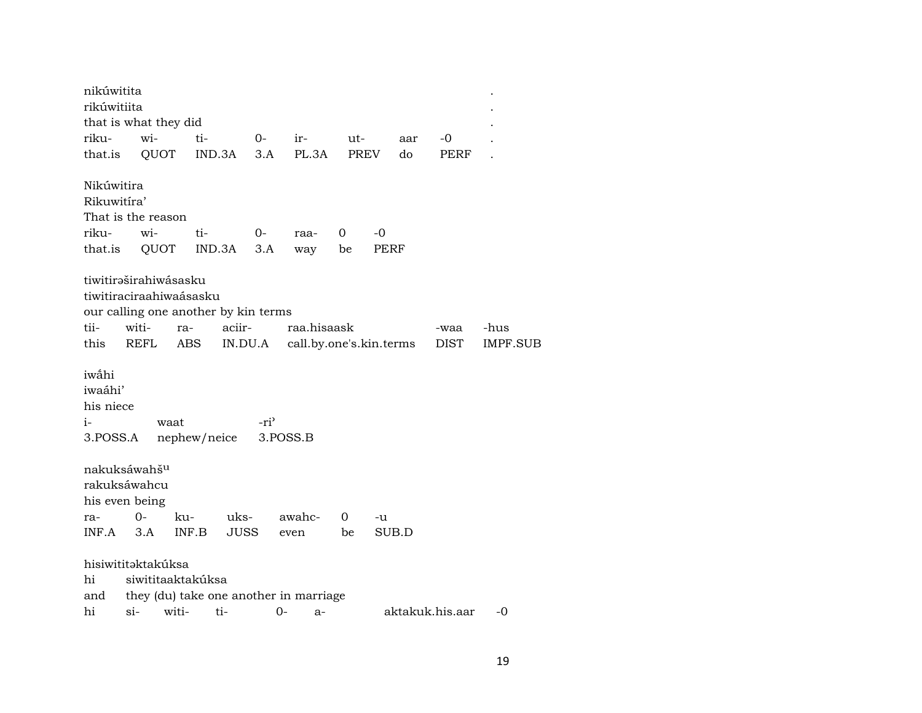| nikúwitita                                        |                                                            |                      |                                                |                              |                         |      |            |     |                 |          |
|---------------------------------------------------|------------------------------------------------------------|----------------------|------------------------------------------------|------------------------------|-------------------------|------|------------|-----|-----------------|----------|
| rikúwitiita                                       |                                                            |                      |                                                |                              |                         |      |            |     |                 |          |
|                                                   | that is what they did                                      |                      |                                                |                              |                         |      |            |     |                 |          |
| riku-                                             | wi-                                                        | ti-                  |                                                | $0-$<br>ir-                  |                         | ut-  |            | aar | -0              |          |
| that.is                                           | QUOT                                                       |                      | IND.3A<br>3.A                                  |                              | PL.3A                   | PREV |            | do  | PERF            |          |
| Nikúwitira<br>Rikuwitíra'<br>riku-<br>that.is     | That is the reason<br>wi-<br>QUOT                          | ti-                  | $0-$<br>IND.3A<br>3.A                          | raa-<br>way                  | 0                       | be   | -0<br>PERF |     |                 |          |
| tii-                                              | tiwitiraširahiwásasku<br>tiwitiraciraahiwaásasku<br>witi-  |                      | our calling one another by kin terms<br>aciir- |                              | raa.hisaask             |      |            |     |                 |          |
|                                                   |                                                            | ra-                  |                                                |                              |                         |      |            |     | -waa            | -hus     |
| this                                              | REFL                                                       | ABS                  | IN.DU.A                                        |                              | call.by.one's.kin.terms |      |            |     | DIST            | IMPF.SUB |
| iwâhi<br>iwaáhi'<br>his niece<br>$i-$<br>3.POSS.A |                                                            | waat<br>nephew/neice |                                                | -ri <sup>3</sup><br>3.POSS.B |                         |      |            |     |                 |          |
|                                                   | nakuksáwahš <sup>u</sup><br>rakuksáwahcu<br>his even being |                      |                                                |                              |                         |      |            |     |                 |          |
| ra-                                               | $0-$                                                       | ku-                  | uks-                                           | awahc-                       |                         | 0    | -u         |     |                 |          |
| INF.A                                             | 3.A                                                        | INF.B                | <b>JUSS</b>                                    | even                         |                         | be   | SUB.D      |     |                 |          |
| hi<br>and                                         | hisiwititəktakúksa<br>siwititaaktakúksa                    |                      | they (du) take one another in marriage         |                              |                         |      |            |     |                 |          |
| hi                                                | $si-$                                                      | witi-                | ti-                                            | 0-                           | $a-$                    |      |            |     | aktakuk.his.aar | -0       |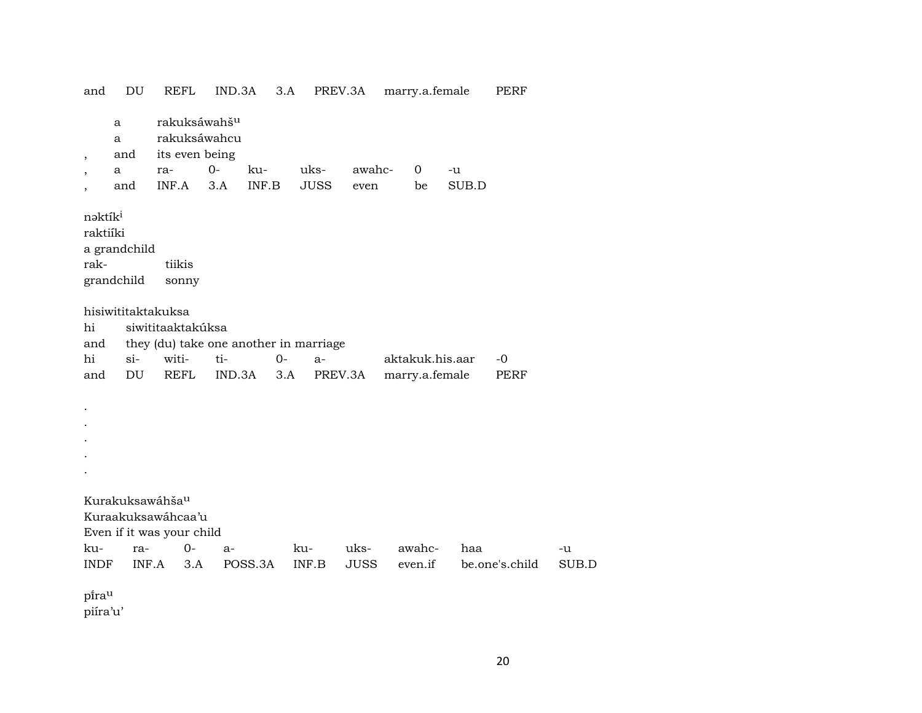and DU REFL IND.3A 3.A PREV.3A marry.a.female PERF a rakuksáwahš<sup>u</sup> a rakuksáwahcu , and its even being , a ra- 0- ku- uks- awahc- 0 -u , and INF.A 3.A INF.B JUSS even be SUB.D nəktík<sup>i</sup> raktiíki a grandchild rak- tiikis grandchild sonny hisiwititaktakuksa hi siwititaaktakúksa and they (du) take one another in marriage hi si- witi- ti- 0- a- aktakuk.his.aar -0 and DU REFL IND.3A 3.A PREV.3A marry.a.female PERF . . . . . Kurakuksawáhša<sup>u</sup> Kuraakuksawáhcaa'u Even if it was your child ku- ra- 0- a- ku- uks- awahc- haa -u INDF INF.A 3.A POSS.3A INF.B JUSS even.if be.one's.child SUB.D pirau piíra'u'

20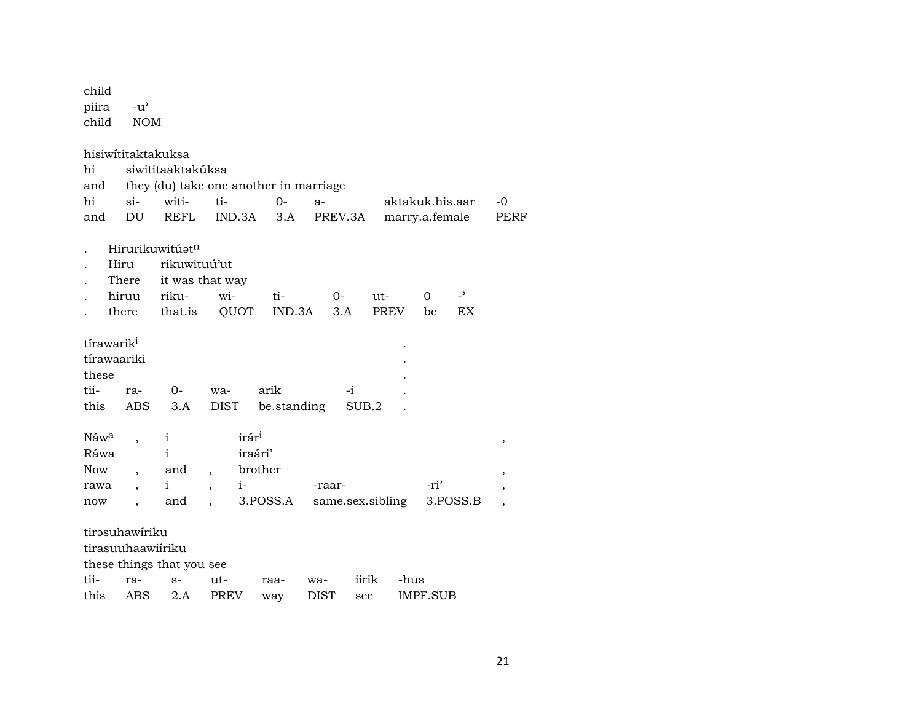| child<br>piira<br>child                                | $-u$ <sup><math>\prime</math></sup><br><b>NOM</b> |                                                                        |                                                                                           |                                               |                    |              |                    |                 |                      |                                       |
|--------------------------------------------------------|---------------------------------------------------|------------------------------------------------------------------------|-------------------------------------------------------------------------------------------|-----------------------------------------------|--------------------|--------------|--------------------|-----------------|----------------------|---------------------------------------|
| hisiwititaktakuksa<br>hi<br>and<br>hi                  | $si-$                                             | siwititaaktakúksa<br>witi-                                             | they (du) take one another in marriage<br>ti-                                             | $O -$                                         | $a-$               |              |                    | aktakuk.his.aar |                      | -0                                    |
| and                                                    | DU                                                | <b>REFL</b>                                                            | IND.3A                                                                                    | 3.A                                           | PREV.3A            |              |                    | marry.a.female  |                      | PERF                                  |
|                                                        | Hiru<br>There<br>hiruu<br>there                   | Hirurikuwitúatn<br>rikuwituú'ut<br>it was that way<br>riku-<br>that.is | wi-<br>QUOT                                                                               | ti-<br>IND.3A                                 | $0-$<br>3.A        |              | ut-<br><b>PREV</b> | $\Omega$<br>be  | $\overline{a}$<br>EX |                                       |
| tírawarik <sup>i</sup><br>tírawaariki<br>these<br>tii- | ra-                                               | 0-                                                                     | wa-                                                                                       | arik                                          |                    | -i           |                    |                 |                      |                                       |
| this<br>Náwa<br>Ráwa<br><b>Now</b><br>rawa<br>now      | ABS<br>$\overline{\phantom{a}}$                   | 3.A<br>$\mathbf{i}$<br>i<br>and<br>$\mathbf{i}$<br>and                 | DIST<br>irár <sup>i</sup><br>$\overline{\phantom{a}}$<br>$i-$<br>$\overline{\phantom{a}}$ | be.standing<br>iraári'<br>brother<br>3.POSS.A | -raar-             | SUB.2        | same.sex.sibling   | -ri'            | 3.POSS.B             | ,<br>$\,$<br>$\overline{\phantom{a}}$ |
| tirəsuhawiriku<br>tirasuuhaawiíriku<br>tii-<br>this    | ra-<br><b>ABS</b>                                 | these things that you see<br>$S-$<br>2.A                               | ut-<br><b>PREV</b>                                                                        | raa-<br>way                                   | wa-<br><b>DIST</b> | iirik<br>see | -hus               | IMPF.SUB        |                      |                                       |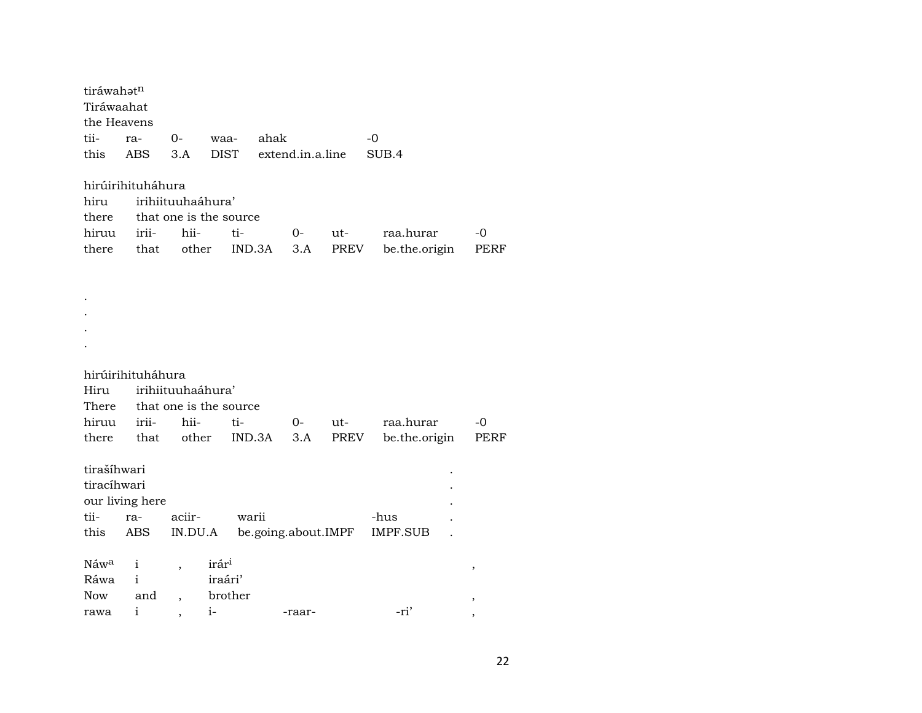| tiráwahatn       |                   |                          |                        |        |                     |       |                 |      |
|------------------|-------------------|--------------------------|------------------------|--------|---------------------|-------|-----------------|------|
| Tiráwaahat       |                   |                          |                        |        |                     |       |                 |      |
| the Heavens      |                   |                          |                        |        |                     |       |                 |      |
| tii-             | ra-               | $0-$                     | waa-                   | ahak   |                     |       | -0              |      |
| this             | <b>ABS</b>        | 3.A                      | <b>DIST</b>            |        | extend.in.a.line    |       | SUB.4           |      |
|                  |                   |                          |                        |        |                     |       |                 |      |
|                  | hirúirihituháhura |                          |                        |        |                     |       |                 |      |
| hiru             |                   | irihiituuhaáhura'        |                        |        |                     |       |                 |      |
| there            |                   |                          | that one is the source |        |                     |       |                 |      |
| hiruu            | irii-             | hii-                     | ti-                    |        | 0-                  | ut-   | raa.hurar       | -0   |
| there            | that              | other                    |                        | IND.3A | 3.A                 | PREV  | be.the.origin   | PERF |
|                  |                   |                          |                        |        |                     |       |                 |      |
|                  |                   |                          |                        |        |                     |       |                 |      |
|                  |                   |                          |                        |        |                     |       |                 |      |
|                  |                   |                          |                        |        |                     |       |                 |      |
|                  |                   |                          |                        |        |                     |       |                 |      |
|                  |                   |                          |                        |        |                     |       |                 |      |
|                  | hirúirihituháhura |                          |                        |        |                     |       |                 |      |
| Hiru             |                   | irihiituuhaáhura'        |                        |        |                     |       |                 |      |
| There            |                   |                          | that one is the source |        |                     |       |                 |      |
| hiruu            | irii-             | hii-                     | ti-                    |        | $0-$                | $ut-$ | raa.hurar       | -0   |
| there            | that              | other                    | IND.3A                 |        | 3.A                 | PREV  | be.the.origin   | PERF |
|                  |                   |                          |                        |        |                     |       |                 |      |
| tirašíhwari      |                   |                          |                        |        |                     |       |                 |      |
| tiracíhwari      |                   |                          |                        |        |                     |       |                 |      |
|                  | our living here   |                          |                        |        |                     |       |                 |      |
| tii-             | ra-               | aciir-                   | warii                  |        |                     |       | -hus            |      |
| this             | ABS               | IN.DU.A                  |                        |        | be.going.about.IMPF |       | <b>IMPF.SUB</b> |      |
|                  |                   |                          |                        |        |                     |       |                 |      |
| Náw <sup>a</sup> | i                 | $\overline{\phantom{a}}$ | irár <sup>i</sup>      |        |                     |       |                 | ,    |
| Ráwa             | $\mathbf{i}$      |                          | iraári'                |        |                     |       |                 |      |
| <b>Now</b>       | and               |                          | brother                |        |                     |       |                 | ,    |
| rawa             | i                 | $\overline{\phantom{a}}$ | $i-$                   |        | -raar-              |       | -ri'            | ,    |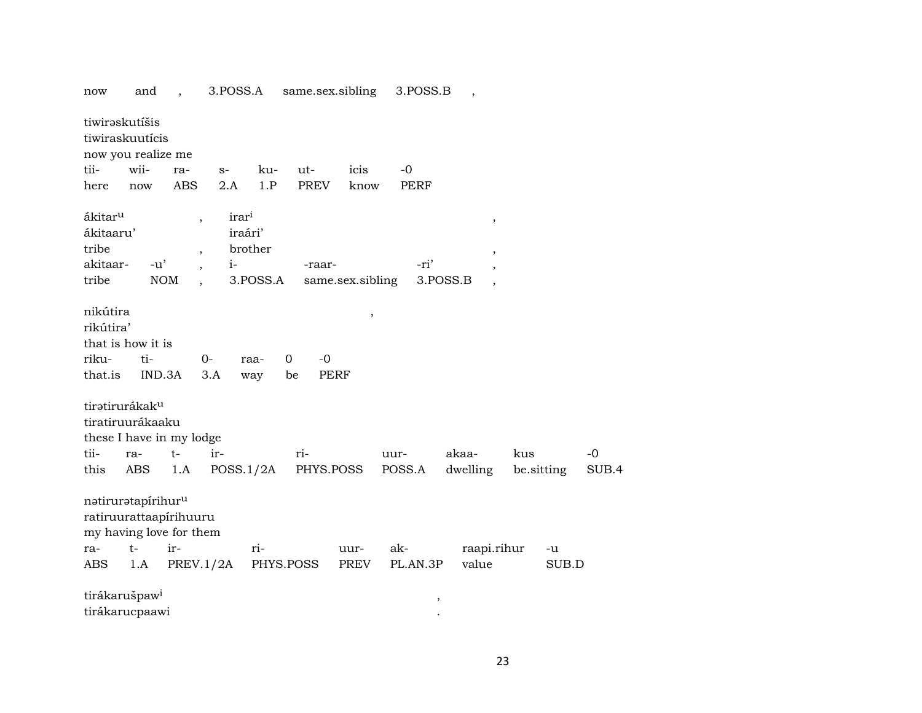| now                   | and                               | $\overline{\phantom{a}}$ | 3.POSS.A          |             | same.sex.sibling |      | 3.POSS.B |          |             |            |       |
|-----------------------|-----------------------------------|--------------------------|-------------------|-------------|------------------|------|----------|----------|-------------|------------|-------|
|                       | tiwirəskutíšis<br>tiwiraskuutícis |                          |                   |             |                  |      |          |          |             |            |       |
|                       | now you realize me                |                          |                   |             |                  |      |          |          |             |            |       |
| tii-                  | wii-                              | ra-                      | $S-$              | ku-         | ut-              | icis | $-0$     |          |             |            |       |
| here                  | now                               | <b>ABS</b>               | 2.A               | 1.P         | <b>PREV</b>      | know | PERF     |          |             |            |       |
| ákitar <sup>u</sup>   |                                   | $\overline{\phantom{a}}$ | irar <sup>i</sup> |             |                  |      |          |          | ,           |            |       |
| ákitaaru'             |                                   |                          | iraári'           |             |                  |      |          |          |             |            |       |
| tribe                 |                                   | $\overline{\phantom{a}}$ | brother           |             |                  |      |          |          |             |            |       |
| akitaar-              | $-u'$                             |                          | $i-$              |             | -raar-           |      | -ri'     |          |             |            |       |
| tribe                 |                                   | <b>NOM</b>               | 3.POSS.A          |             | same.sex.sibling |      |          | 3.POSS.B |             |            |       |
|                       |                                   |                          |                   |             |                  |      |          |          |             |            |       |
| nikútira<br>rikútira' |                                   |                          |                   |             |                  | ,    |          |          |             |            |       |
|                       | that is how it is                 |                          |                   |             |                  |      |          |          |             |            |       |
| riku-                 | ti-                               |                          | $0-$<br>raa-      | $\mathbf 0$ | $-0$             |      |          |          |             |            |       |
| that.is               | IND.3A                            |                          | 3.A<br>way        | be          | <b>PERF</b>      |      |          |          |             |            |       |
|                       | tiratirurákak <sup>u</sup>        |                          |                   |             |                  |      |          |          |             |            |       |
|                       | tiratiruurákaaku                  |                          |                   |             |                  |      |          |          |             |            |       |
|                       | these I have in my lodge          |                          |                   |             |                  |      |          |          |             |            |       |
| tii-                  | ra-                               | $t-$                     | ir-               |             | ri-              |      | uur-     | akaa-    | kus         |            | $-0$  |
| this                  | ABS                               | 1.A                      | POSS.1/2A         |             | PHYS.POSS        |      | POSS.A   | dwelling |             | be.sitting | SUB.4 |
|                       |                                   |                          |                   |             |                  |      |          |          |             |            |       |
|                       | natiruratapírihuru                |                          |                   |             |                  |      |          |          |             |            |       |
|                       | ratiruurattaapírihuuru            |                          |                   |             |                  |      |          |          |             |            |       |
|                       | my having love for them           |                          |                   |             |                  |      |          |          |             |            |       |
| ra-                   | $t-$                              | ir-                      | ri-               |             |                  | uur- | ak-      |          | raapi.rihur | -u         |       |
| ABS                   | 1.A                               | PREV.1/2A                |                   | PHYS.POSS   |                  | PREV | PL.AN.3P | value    |             | SUB.D      |       |
|                       | tirákarušpaw <sup>i</sup>         |                          |                   |             |                  |      |          |          |             |            |       |
|                       | tirákarucpaawi                    |                          |                   |             |                  |      |          | $\, ,$   |             |            |       |
|                       |                                   |                          |                   |             |                  |      |          |          |             |            |       |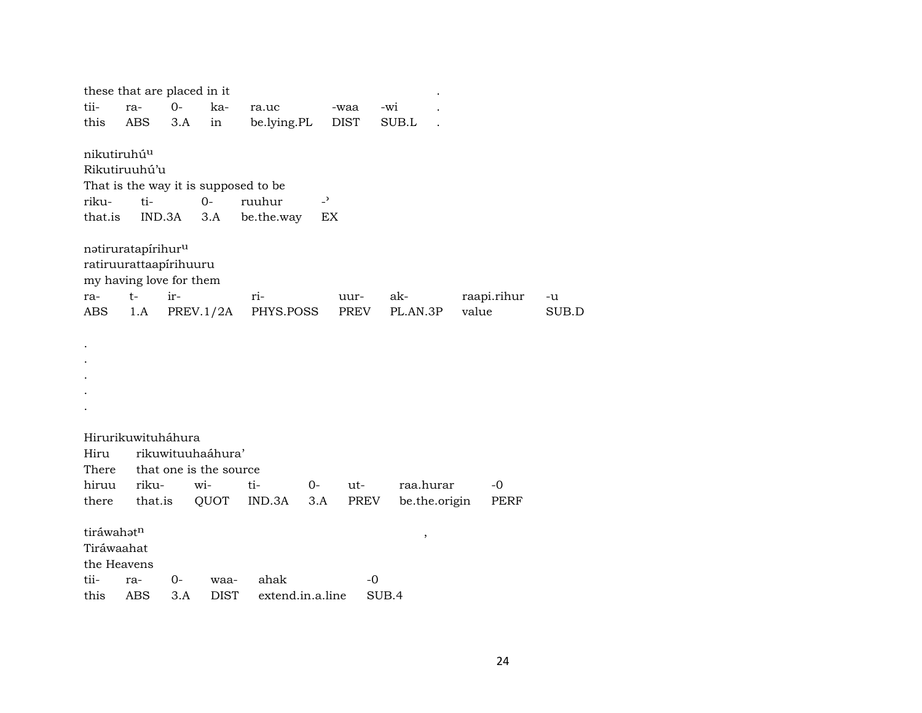| tii-<br>this                                            | these that are placed in it<br>ra-<br>ABS                                                          | $0 -$<br>3.A | ka-<br>in                                                  | ra.uc<br>be.lying.PL                                         |                      | -waa<br><b>DIST</b> | -wi<br>SUB.L    |               |                     |             |
|---------------------------------------------------------|----------------------------------------------------------------------------------------------------|--------------|------------------------------------------------------------|--------------------------------------------------------------|----------------------|---------------------|-----------------|---------------|---------------------|-------------|
| nikutiruhú <sup>u</sup><br>riku-<br>that.is             | Rikutiruuhú'u<br>ti-<br>IND.3A                                                                     |              | $O -$<br>3.A                                               | That is the way it is supposed to be<br>ruuhur<br>be.the.way | $\overline{a}$<br>EX |                     |                 |               |                     |             |
| ra-<br>ABS                                              | natiruratapírihur <sup>u</sup><br>ratiruurattaapírihuuru<br>my having love for them<br>$t-$<br>1.A | ir-          | PREV.1/2A                                                  | ri-<br>PHYS.POSS                                             |                      | uur-<br>PREV        | ak-<br>PL.AN.3P | value         | raapi.rihur         | -u<br>SUB.D |
|                                                         |                                                                                                    |              |                                                            |                                                              |                      |                     |                 |               |                     |             |
| Hiru<br>There<br>hiruu<br>there                         | Hirurikuwituháhura<br>riku-<br>that.is                                                             |              | rikuwituuhaáhura'<br>that one is the source<br>wi-<br>QUOT | ti-<br>IND.3A                                                | $0-$<br>3.A          | $ut-$<br>PREV       | raa.hurar       | be.the.origin | $-0$<br><b>PERF</b> |             |
| tiráwahatn<br>Tiráwaahat<br>the Heavens<br>tii-<br>this | ra-<br><b>ABS</b>                                                                                  | $0-$<br>3.A  | waa-<br><b>DIST</b>                                        | ahak<br>extend.in.a.line                                     |                      | -0                  | $\, ,$<br>SUB.4 |               |                     |             |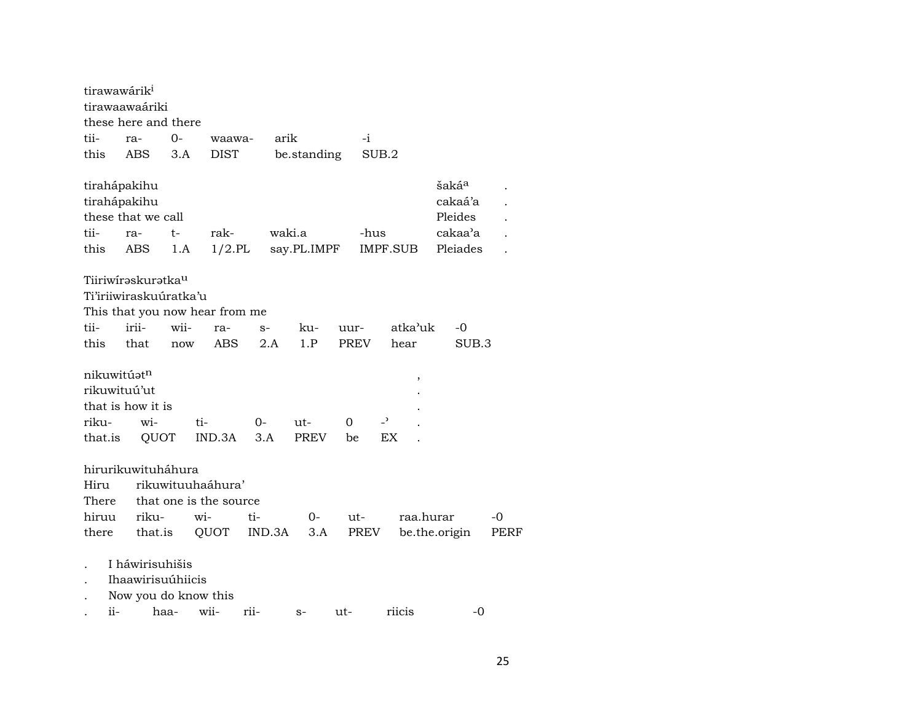|         | tirawawárik <sup>i</sup>       |      |                        |        |             |             |                          |               |                   |      |
|---------|--------------------------------|------|------------------------|--------|-------------|-------------|--------------------------|---------------|-------------------|------|
|         | tirawaawaáriki                 |      |                        |        |             |             |                          |               |                   |      |
|         | these here and there           |      |                        |        |             |             |                          |               |                   |      |
| tii-    | ra-                            | $0-$ | waawa-                 | arik   |             |             | -i                       |               |                   |      |
| this    | ABS                            | 3.A  | <b>DIST</b>            |        | be.standing |             | SUB.2                    |               |                   |      |
|         | tirahápakihu                   |      |                        |        |             |             |                          |               | šaká <sup>a</sup> |      |
|         | tirahápakihu                   |      |                        |        |             |             |                          |               | cakaá'a           |      |
|         | these that we call             |      |                        |        |             |             |                          |               | Pleides           |      |
| tii-    | ra-                            | $t-$ | rak-                   |        | waki.a      |             | -hus                     |               | cakaa'a           |      |
| this    | ABS                            | 1.A  | $1/2$ .PL              |        | say.PL.IMPF |             | IMPF.SUB                 |               | Pleiades          |      |
|         | Tiiriwirəskurətka <sup>u</sup> |      |                        |        |             |             |                          |               |                   |      |
|         | Ti'iriiwiraskuúratka'u         |      |                        |        |             |             |                          |               |                   |      |
|         | This that you now hear from me |      |                        |        |             |             |                          |               |                   |      |
| tii-    | irii-                          | wii- | ra-                    | $S-$   | ku-         | uur-        |                          | atka'uk       | -0                |      |
| this    | that                           | now  | <b>ABS</b>             | 2.A    | 1.P         | <b>PREV</b> |                          | hear          | SUB.3             |      |
|         | nikuwitúat <sup>n</sup>        |      |                        |        |             |             |                          | $\, ,$        |                   |      |
|         | rikuwituú'ut                   |      |                        |        |             |             |                          |               |                   |      |
|         | that is how it is              |      |                        |        |             |             |                          |               |                   |      |
| riku-   | wi-                            |      | ti-                    | 0-     | ut-         | 0           | $\overline{\phantom{0}}$ |               |                   |      |
| that.is | QUOT                           |      | IND.3A                 | 3.A    | PREV        | be          | EX                       |               |                   |      |
|         | hirurikuwituháhura             |      |                        |        |             |             |                          |               |                   |      |
| Hiru    |                                |      | rikuwituuhaáhura'      |        |             |             |                          |               |                   |      |
| There   |                                |      | that one is the source |        |             |             |                          |               |                   |      |
| hiruu   | riku-                          |      | wi-                    | ti-    | 0-          | ut-         |                          | raa.hurar     |                   | $-0$ |
| there   | that.is                        |      | QUOT                   | IND.3A | 3.A         |             | PREV                     | be.the.origin |                   | PERF |
|         | I háwirisuhišis                |      |                        |        |             |             |                          |               |                   |      |
|         | Ihaawirisuúhiicis              |      |                        |        |             |             |                          |               |                   |      |
|         | Now you do know this           |      |                        |        |             |             |                          |               |                   |      |
| ii-     |                                | haa- | wii-                   | rii-   | $S-$        | ut-         |                          | riicis        | -0                |      |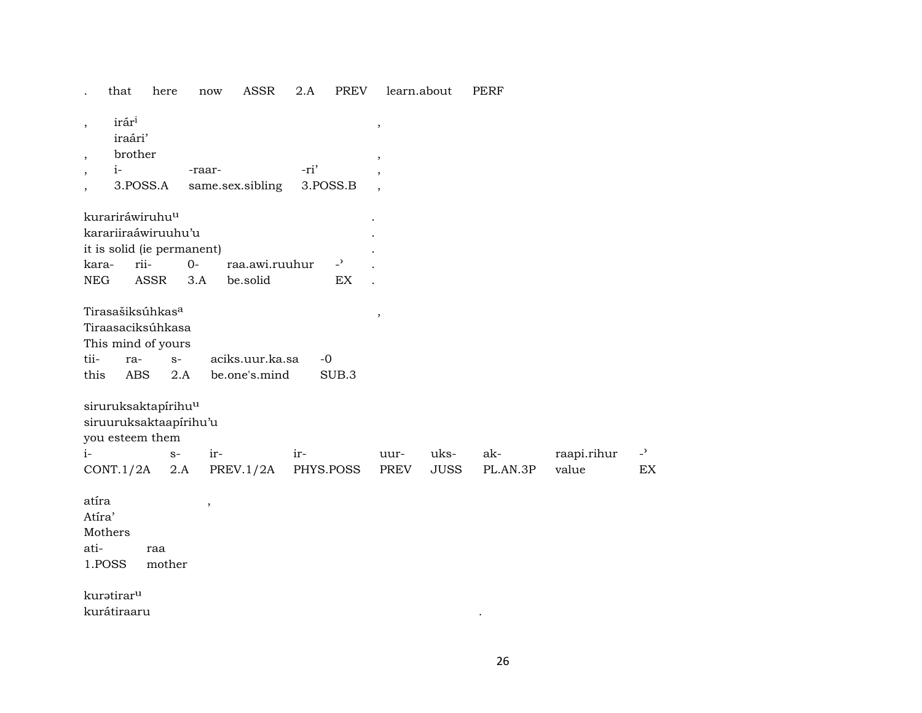|                                                      | that                                                                                         | here          | now                        | <b>ASSR</b>                      | 2.A  | <b>PREV</b>              | learn.about      |             | <b>PERF</b> |                      |                          |
|------------------------------------------------------|----------------------------------------------------------------------------------------------|---------------|----------------------------|----------------------------------|------|--------------------------|------------------|-------------|-------------|----------------------|--------------------------|
| $\overline{\phantom{a}}$<br>$\overline{\phantom{a}}$ | irári<br>iraári'<br>brother                                                                  |               |                            |                                  |      |                          | $\, ,$<br>$\, ,$ |             |             |                      |                          |
| $\,$                                                 | $i-$                                                                                         |               | -raar-                     |                                  | -ri' |                          |                  |             |             |                      |                          |
| $\overline{\phantom{a}}$                             |                                                                                              | 3.POSS.A      |                            | same.sex.sibling                 |      | 3.POSS.B                 |                  |             |             |                      |                          |
|                                                      | kurariráwiruhu <sup>u</sup>                                                                  |               |                            |                                  |      |                          |                  |             |             |                      |                          |
|                                                      | karariiraáwiruuhu'u                                                                          |               |                            |                                  |      |                          |                  |             |             |                      |                          |
|                                                      |                                                                                              |               | it is solid (ie permanent) |                                  |      |                          |                  |             |             |                      |                          |
| kara-                                                |                                                                                              | rii-          | $O -$                      | raa.awi.ruuhur                   |      | $\overline{\phantom{a}}$ |                  |             |             |                      |                          |
| ${\rm NEG}$                                          |                                                                                              | ASSR          | 3.A                        | be.solid                         |      | EX                       |                  |             |             |                      |                          |
| tii-<br>this                                         | Tirasašiksúhkas <sup>a</sup><br>Tiraasaciksúhkasa<br>This mind of yours<br>ra-<br><b>ABS</b> |               | $S-$<br>2.A                | aciks.uur.ka.sa<br>be.one's.mind |      | $-0$<br>SUB.3            | $\, ,$           |             |             |                      |                          |
|                                                      | siruruksaktapírihu <sup>u</sup>                                                              |               |                            |                                  |      |                          |                  |             |             |                      |                          |
|                                                      |                                                                                              |               | siruuruksaktaapirihu'u     |                                  |      |                          |                  |             |             |                      |                          |
| $i-$                                                 | you esteem them                                                                              |               | $S-$                       |                                  |      |                          |                  | uks-        | ak-         |                      | $\overline{\phantom{a}}$ |
|                                                      | CONT.1/2A                                                                                    |               | 2.A                        | ir-<br>PREV.1/2A                 | ir-  | PHYS.POSS                | uur-<br>PREV     | <b>JUSS</b> | PL.AN.3P    | raapi.rihur<br>value | EX                       |
|                                                      |                                                                                              |               |                            |                                  |      |                          |                  |             |             |                      |                          |
| atíra<br>Atíra'<br>ati-                              | Mothers<br>1.POSS                                                                            | raa<br>mother | $\overline{\phantom{a}}$   |                                  |      |                          |                  |             |             |                      |                          |
|                                                      | kuratiraru                                                                                   |               |                            |                                  |      |                          |                  |             |             |                      |                          |

kurátiraaru

 $\sim 10^{-10}$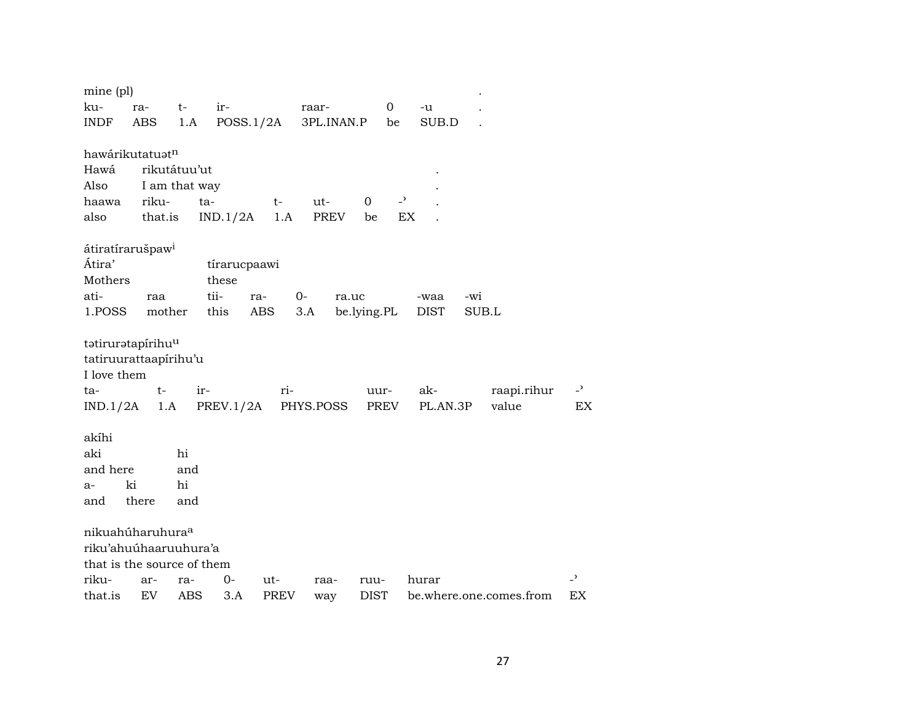| mine (pl)                              |         |               |              |      |                     |             |                          |          |                         |                          |
|----------------------------------------|---------|---------------|--------------|------|---------------------|-------------|--------------------------|----------|-------------------------|--------------------------|
| ku-                                    | ra-     | $t-$          | ir-          |      | raar-               | 0           |                          | -u       |                         |                          |
| <b>INDF</b>                            | ABS     | 1.A           | POSS.1/2A    |      | 3PL.INAN.P          | be          |                          | SUB.D    |                         |                          |
|                                        |         |               |              |      |                     |             |                          |          |                         |                          |
| hawárikutatuatn                        |         |               |              |      |                     |             |                          |          |                         |                          |
| Hawá                                   |         | rikutátuu'ut  |              |      |                     |             |                          |          |                         |                          |
| Also                                   |         | I am that way |              |      |                     |             |                          |          |                         |                          |
| haawa                                  | riku-   | ta-           |              | $t-$ | ut-                 | 0           | $\overline{\phantom{0}}$ |          |                         |                          |
| also                                   | that.is |               | IND.1/2A     | 1.A  | PREV                | be          | EX                       |          |                         |                          |
|                                        |         |               |              |      |                     |             |                          |          |                         |                          |
| átiratírarušpaw <sup>i</sup><br>Átira' |         |               | tírarucpaawi |      |                     |             |                          |          |                         |                          |
| Mothers                                |         |               | these        |      |                     |             |                          |          |                         |                          |
| ati-                                   | raa     |               | tii-<br>ra-  |      | 0-<br>ra.uc         |             |                          | -waa     | -wi                     |                          |
| 1.POSS                                 | mother  |               | this         | ABS  | 3.A                 | be.lying.PL |                          | DIST     | SUB.L                   |                          |
|                                        |         |               |              |      |                     |             |                          |          |                         |                          |
| tatiruratapírihu <sup>u</sup>          |         |               |              |      |                     |             |                          |          |                         |                          |
| tatiruurattaapirihu'u                  |         |               |              |      |                     |             |                          |          |                         |                          |
| I love them                            |         |               |              |      |                     |             |                          |          |                         |                          |
| ta-                                    | $t-$    | ir-           |              | ri-  |                     | uur-        |                          | ak-      | raapi.rihur             | $-$ <sup>2</sup>         |
| IND.1/2A                               | 1.A     |               |              |      | PREV.1/2A PHYS.POSS | PREV        |                          | PL.AN.3P | value                   | EX                       |
|                                        |         |               |              |      |                     |             |                          |          |                         |                          |
| akíhi                                  |         |               |              |      |                     |             |                          |          |                         |                          |
| aki                                    |         | hi            |              |      |                     |             |                          |          |                         |                          |
| and here                               |         | and           |              |      |                     |             |                          |          |                         |                          |
| a-                                     | ki      | hi            |              |      |                     |             |                          |          |                         |                          |
| and                                    | there   | and           |              |      |                     |             |                          |          |                         |                          |
| nikuahúharuhura <sup>a</sup>           |         |               |              |      |                     |             |                          |          |                         |                          |
| riku'ahuúhaaruuhura'a                  |         |               |              |      |                     |             |                          |          |                         |                          |
| that is the source of them             |         |               |              |      |                     |             |                          |          |                         |                          |
| riku-                                  | ar-     | ra-           | 0-           | ut-  | raa-                | ruu-        |                          | hurar    |                         | $\overline{\phantom{0}}$ |
| that.is                                | EV      | ABS           | 3.A          | PREV | way                 | <b>DIST</b> |                          |          | be.where.one.comes.from | ЕX                       |
|                                        |         |               |              |      |                     |             |                          |          |                         |                          |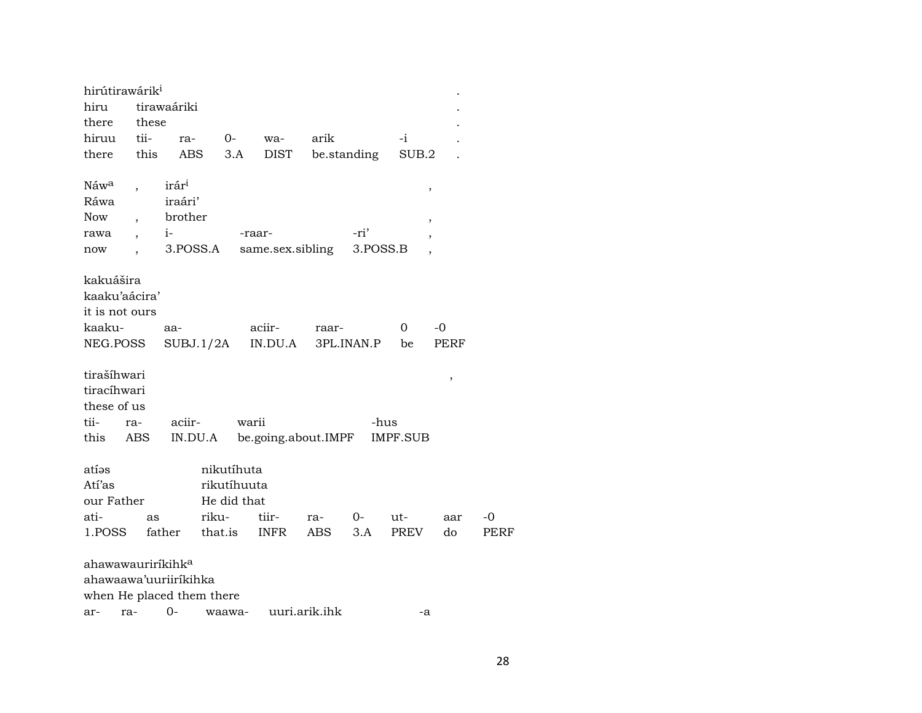| hirútirawárik <sup>i</sup>    |       |                   |             |        |                     |                             |             |                 |        |             |
|-------------------------------|-------|-------------------|-------------|--------|---------------------|-----------------------------|-------------|-----------------|--------|-------------|
| hiru                          |       | tirawaáriki       |             |        |                     |                             |             |                 |        |             |
| there                         | these |                   |             |        |                     |                             |             |                 |        |             |
| hiruu                         | tii-  | ra-               | $0-$        |        | wa-                 | arik                        |             | -i              |        |             |
| there                         | this  | <b>ABS</b>        |             | 3.A    | <b>DIST</b>         |                             | be.standing | SUB.2           |        |             |
| Náw <sup>a</sup>              |       | irár <sup>i</sup> |             |        |                     |                             |             |                 | $\, ,$ |             |
| Ráwa                          |       | iraári'           |             |        |                     |                             |             |                 |        |             |
| Now                           |       | brother           |             |        |                     |                             |             |                 | ,      |             |
| rawa                          |       | $i$ -             |             | -raar- |                     |                             | -ri'        |                 |        |             |
| now                           |       | 3.POSS.A          |             |        | same.sex.sibling    |                             | 3.POSS.B    |                 |        |             |
| kakuášira                     |       |                   |             |        |                     |                             |             |                 |        |             |
| kaaku'aácira'                 |       |                   |             |        |                     |                             |             |                 |        |             |
| it is not ours                |       |                   |             |        |                     |                             |             |                 |        |             |
| kaaku-                        |       | aa-               |             |        | aciir-              | raar-                       |             | 0               | -0     |             |
| NEG.POSS                      |       |                   |             |        | $SUBJ.1/2A$ IN.DU.A |                             | 3PL.INAN.P  | be              | PERF   |             |
| tirašíhwari                   |       |                   |             |        |                     |                             |             |                 | ,      |             |
| tiracíhwari                   |       |                   |             |        |                     |                             |             |                 |        |             |
| these of us                   |       |                   |             |        |                     |                             |             |                 |        |             |
| tii-                          | ra-   | aciir-            |             | warii  |                     |                             | -hus        |                 |        |             |
| this                          | ABS   |                   |             |        |                     | IN.DU.A be.going.about.IMPF |             | <b>IMPF.SUB</b> |        |             |
| atíəs                         |       |                   | nikutíhuta  |        |                     |                             |             |                 |        |             |
| Atí'as                        |       |                   | rikutíhuuta |        |                     |                             |             |                 |        |             |
| our Father                    |       |                   | He did that |        |                     |                             |             |                 |        |             |
| ati-                          | as    |                   | riku-       |        | tiir-               | ra-                         | 0-          | ut-             | aar    | -0          |
| 1.POSS                        |       | father            | that.is     |        | <b>INFR</b>         | <b>ABS</b>                  | 3.A         | PREV            | do     | <b>PERF</b> |
| ahawawauriríkihk <sup>a</sup> |       |                   |             |        |                     |                             |             |                 |        |             |
| ahawaawa'uuriiríkihka         |       |                   |             |        |                     |                             |             |                 |        |             |
| when He placed them there     |       |                   |             |        |                     |                             |             |                 |        |             |
| ra-<br>ar-                    |       | 0-                | waawa-      |        |                     | uuri.arik.ihk               |             | -a              |        |             |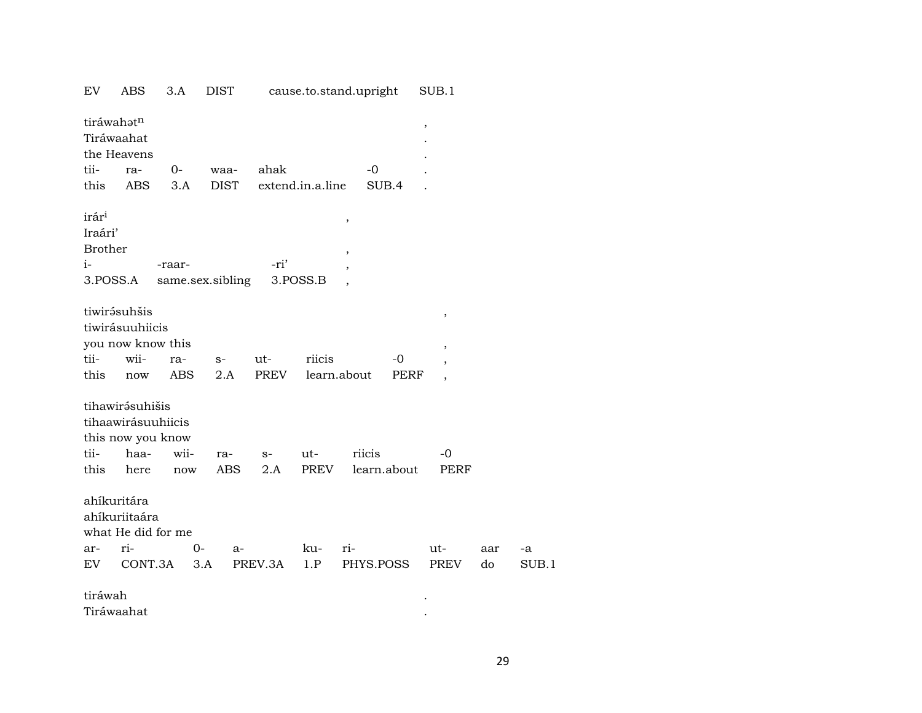| EV                                                                 | ABS                                                                        | 3.A               | DIST              |                    |                  | cause.to.stand.upright                                         | SUB.1                                                                                            |           |
|--------------------------------------------------------------------|----------------------------------------------------------------------------|-------------------|-------------------|--------------------|------------------|----------------------------------------------------------------|--------------------------------------------------------------------------------------------------|-----------|
|                                                                    | tiráwahatn<br>Tiráwaahat<br>the Heavens                                    |                   |                   |                    |                  |                                                                | $\, ,$                                                                                           |           |
| tii-                                                               | ra-                                                                        | $0-$              | waa-              | ahak               |                  | $-0$                                                           |                                                                                                  |           |
| this                                                               | ABS                                                                        | 3.A               | <b>DIST</b>       |                    | extend.in.a.line | SUB.4                                                          |                                                                                                  |           |
| irár <sup>i</sup><br>Iraári'<br><b>Brother</b><br>$i-$<br>3.POSS.A |                                                                            | -raar-            | same.sex.sibling  | -ri'               | 3.POSS.B         | $\, ,$<br>$\overline{\phantom{a}}$<br>$\overline{\phantom{a}}$ |                                                                                                  |           |
| tii-<br>this                                                       | tiwirásuhšis<br>tiwirásuuhiicis<br>you now know this<br>wii-<br>now        | ra-<br><b>ABS</b> | $S-$<br>2.A       | ut-<br><b>PREV</b> | riicis           | -0<br>learn.about                                              | $\,$<br>$\overline{\phantom{a}}$<br>$\overline{\phantom{a}}$<br>PERF<br>$\overline{\phantom{a}}$ |           |
| tii-<br>this                                                       | tihawirásuhišis<br>tihaawirásuuhiicis<br>this now you know<br>haa-<br>here | wii-<br>now       | ra-<br><b>ABS</b> | $S-$<br>2.A        | ut-<br>PREV      | riicis<br>learn.about                                          | -0<br>PERF                                                                                       |           |
| ar-<br>EV.                                                         | ahíkuritára<br>ahíkuriitaára<br>what He did for me<br>ri-<br>CONT.3A       | 0-<br>3.A         | $a-$              | PREV.3A            | ku-<br>1.P       | ri-<br>PHYS.POSS                                               | ut-<br><b>PREV</b>                                                                               | aar<br>do |
| tiráwah                                                            | Tiráwaahat                                                                 |                   |                   |                    |                  |                                                                |                                                                                                  |           |

- $a$  $SUB.1$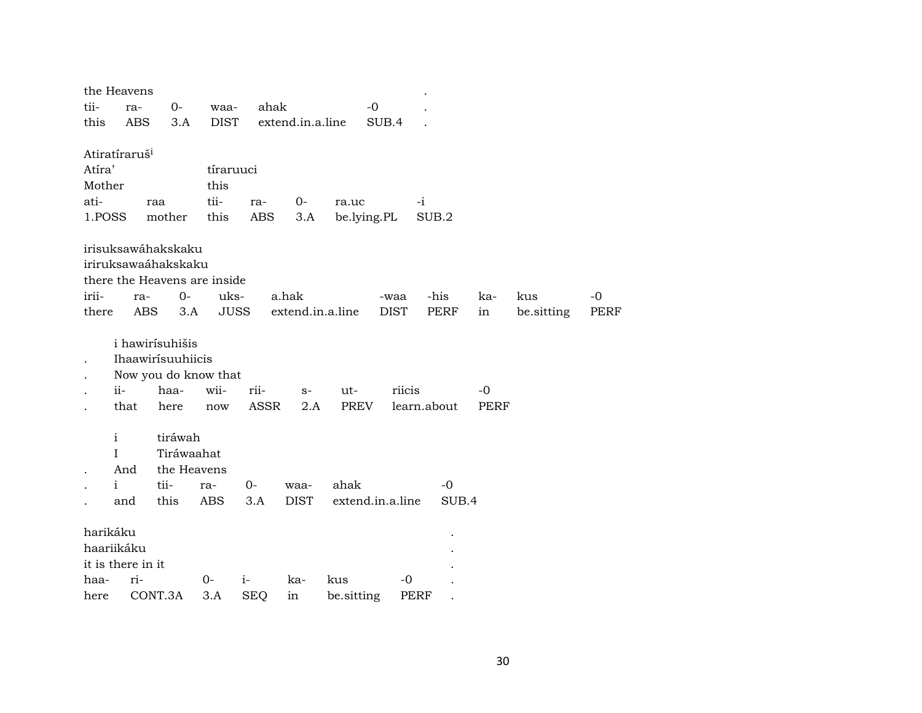| tii-<br>ahak<br>$-0$<br>$0-$<br>ra-<br>waa-<br>this<br><b>ABS</b><br>3.A<br><b>DIST</b><br>extend.in.a.line<br>SUB.4<br>Atiratíraruš <sup>i</sup><br>Atíra'<br>tíraruuci<br>Mother<br>this<br>tii-<br>ati-<br>$-i$<br>0-<br>raa<br>ra-<br>ra.uc<br>1.POSS<br>mother<br>this<br><b>ABS</b><br>be.lying.PL<br>SUB.2<br>3.A<br>irisuksawáhakskaku<br>iriruksawaáhakskaku<br>there the Heavens are inside<br>irii-<br>$0-$<br>uks-<br>a.hak<br>-his<br>kus<br>$-0$<br>ra-<br>-waa<br>ka-<br><b>ABS</b><br>3.A<br><b>JUSS</b><br>extend.in.a.line<br><b>DIST</b><br><b>PERF</b><br>there<br>be.sitting<br>PERF<br>in<br>i hawirísuhišis<br>Ihaawirísuuhiicis<br>Now you do know that<br>wii-<br>ii-<br>haa-<br>riicis<br>rii-<br>ut-<br>-0<br>$S-$<br><b>ASSR</b><br>PREV<br>learn.about<br>that<br>2.A<br>here<br>PERF<br>now<br>$\mathbf{i}$<br>tiráwah<br>Tiráwaahat<br>$\mathsf{I}$<br>the Heavens<br>And<br>$\mathbf{i}$<br>tii-<br>$0-$<br>ahak<br>$-0$<br>ra-<br>waa-<br>this<br><b>ABS</b><br>3.A<br><b>DIST</b><br>extend.in.a.line<br>SUB.4<br>and<br>harikáku<br>haariikáku<br>it is there in it<br>ri-<br>haa-<br>$0-$<br>$i-$<br>ka-<br>kus<br>-0<br>CONT.3A<br>3.A<br>here<br><b>SEQ</b><br>in<br>be.sitting<br><b>PERF</b> | the Heavens |  |  |  |  |  |  |
|--------------------------------------------------------------------------------------------------------------------------------------------------------------------------------------------------------------------------------------------------------------------------------------------------------------------------------------------------------------------------------------------------------------------------------------------------------------------------------------------------------------------------------------------------------------------------------------------------------------------------------------------------------------------------------------------------------------------------------------------------------------------------------------------------------------------------------------------------------------------------------------------------------------------------------------------------------------------------------------------------------------------------------------------------------------------------------------------------------------------------------------------------------------------------------------------------------------------------------------|-------------|--|--|--|--|--|--|
|                                                                                                                                                                                                                                                                                                                                                                                                                                                                                                                                                                                                                                                                                                                                                                                                                                                                                                                                                                                                                                                                                                                                                                                                                                      |             |  |  |  |  |  |  |
|                                                                                                                                                                                                                                                                                                                                                                                                                                                                                                                                                                                                                                                                                                                                                                                                                                                                                                                                                                                                                                                                                                                                                                                                                                      |             |  |  |  |  |  |  |
|                                                                                                                                                                                                                                                                                                                                                                                                                                                                                                                                                                                                                                                                                                                                                                                                                                                                                                                                                                                                                                                                                                                                                                                                                                      |             |  |  |  |  |  |  |
|                                                                                                                                                                                                                                                                                                                                                                                                                                                                                                                                                                                                                                                                                                                                                                                                                                                                                                                                                                                                                                                                                                                                                                                                                                      |             |  |  |  |  |  |  |
|                                                                                                                                                                                                                                                                                                                                                                                                                                                                                                                                                                                                                                                                                                                                                                                                                                                                                                                                                                                                                                                                                                                                                                                                                                      |             |  |  |  |  |  |  |
|                                                                                                                                                                                                                                                                                                                                                                                                                                                                                                                                                                                                                                                                                                                                                                                                                                                                                                                                                                                                                                                                                                                                                                                                                                      |             |  |  |  |  |  |  |
|                                                                                                                                                                                                                                                                                                                                                                                                                                                                                                                                                                                                                                                                                                                                                                                                                                                                                                                                                                                                                                                                                                                                                                                                                                      |             |  |  |  |  |  |  |
|                                                                                                                                                                                                                                                                                                                                                                                                                                                                                                                                                                                                                                                                                                                                                                                                                                                                                                                                                                                                                                                                                                                                                                                                                                      |             |  |  |  |  |  |  |
|                                                                                                                                                                                                                                                                                                                                                                                                                                                                                                                                                                                                                                                                                                                                                                                                                                                                                                                                                                                                                                                                                                                                                                                                                                      |             |  |  |  |  |  |  |
|                                                                                                                                                                                                                                                                                                                                                                                                                                                                                                                                                                                                                                                                                                                                                                                                                                                                                                                                                                                                                                                                                                                                                                                                                                      |             |  |  |  |  |  |  |
|                                                                                                                                                                                                                                                                                                                                                                                                                                                                                                                                                                                                                                                                                                                                                                                                                                                                                                                                                                                                                                                                                                                                                                                                                                      |             |  |  |  |  |  |  |
|                                                                                                                                                                                                                                                                                                                                                                                                                                                                                                                                                                                                                                                                                                                                                                                                                                                                                                                                                                                                                                                                                                                                                                                                                                      |             |  |  |  |  |  |  |
|                                                                                                                                                                                                                                                                                                                                                                                                                                                                                                                                                                                                                                                                                                                                                                                                                                                                                                                                                                                                                                                                                                                                                                                                                                      |             |  |  |  |  |  |  |
|                                                                                                                                                                                                                                                                                                                                                                                                                                                                                                                                                                                                                                                                                                                                                                                                                                                                                                                                                                                                                                                                                                                                                                                                                                      |             |  |  |  |  |  |  |
|                                                                                                                                                                                                                                                                                                                                                                                                                                                                                                                                                                                                                                                                                                                                                                                                                                                                                                                                                                                                                                                                                                                                                                                                                                      |             |  |  |  |  |  |  |
|                                                                                                                                                                                                                                                                                                                                                                                                                                                                                                                                                                                                                                                                                                                                                                                                                                                                                                                                                                                                                                                                                                                                                                                                                                      |             |  |  |  |  |  |  |
|                                                                                                                                                                                                                                                                                                                                                                                                                                                                                                                                                                                                                                                                                                                                                                                                                                                                                                                                                                                                                                                                                                                                                                                                                                      |             |  |  |  |  |  |  |
|                                                                                                                                                                                                                                                                                                                                                                                                                                                                                                                                                                                                                                                                                                                                                                                                                                                                                                                                                                                                                                                                                                                                                                                                                                      |             |  |  |  |  |  |  |
|                                                                                                                                                                                                                                                                                                                                                                                                                                                                                                                                                                                                                                                                                                                                                                                                                                                                                                                                                                                                                                                                                                                                                                                                                                      |             |  |  |  |  |  |  |
|                                                                                                                                                                                                                                                                                                                                                                                                                                                                                                                                                                                                                                                                                                                                                                                                                                                                                                                                                                                                                                                                                                                                                                                                                                      |             |  |  |  |  |  |  |
|                                                                                                                                                                                                                                                                                                                                                                                                                                                                                                                                                                                                                                                                                                                                                                                                                                                                                                                                                                                                                                                                                                                                                                                                                                      |             |  |  |  |  |  |  |
|                                                                                                                                                                                                                                                                                                                                                                                                                                                                                                                                                                                                                                                                                                                                                                                                                                                                                                                                                                                                                                                                                                                                                                                                                                      |             |  |  |  |  |  |  |
|                                                                                                                                                                                                                                                                                                                                                                                                                                                                                                                                                                                                                                                                                                                                                                                                                                                                                                                                                                                                                                                                                                                                                                                                                                      |             |  |  |  |  |  |  |
|                                                                                                                                                                                                                                                                                                                                                                                                                                                                                                                                                                                                                                                                                                                                                                                                                                                                                                                                                                                                                                                                                                                                                                                                                                      |             |  |  |  |  |  |  |
|                                                                                                                                                                                                                                                                                                                                                                                                                                                                                                                                                                                                                                                                                                                                                                                                                                                                                                                                                                                                                                                                                                                                                                                                                                      |             |  |  |  |  |  |  |
|                                                                                                                                                                                                                                                                                                                                                                                                                                                                                                                                                                                                                                                                                                                                                                                                                                                                                                                                                                                                                                                                                                                                                                                                                                      |             |  |  |  |  |  |  |
|                                                                                                                                                                                                                                                                                                                                                                                                                                                                                                                                                                                                                                                                                                                                                                                                                                                                                                                                                                                                                                                                                                                                                                                                                                      |             |  |  |  |  |  |  |
|                                                                                                                                                                                                                                                                                                                                                                                                                                                                                                                                                                                                                                                                                                                                                                                                                                                                                                                                                                                                                                                                                                                                                                                                                                      |             |  |  |  |  |  |  |
|                                                                                                                                                                                                                                                                                                                                                                                                                                                                                                                                                                                                                                                                                                                                                                                                                                                                                                                                                                                                                                                                                                                                                                                                                                      |             |  |  |  |  |  |  |
|                                                                                                                                                                                                                                                                                                                                                                                                                                                                                                                                                                                                                                                                                                                                                                                                                                                                                                                                                                                                                                                                                                                                                                                                                                      |             |  |  |  |  |  |  |
|                                                                                                                                                                                                                                                                                                                                                                                                                                                                                                                                                                                                                                                                                                                                                                                                                                                                                                                                                                                                                                                                                                                                                                                                                                      |             |  |  |  |  |  |  |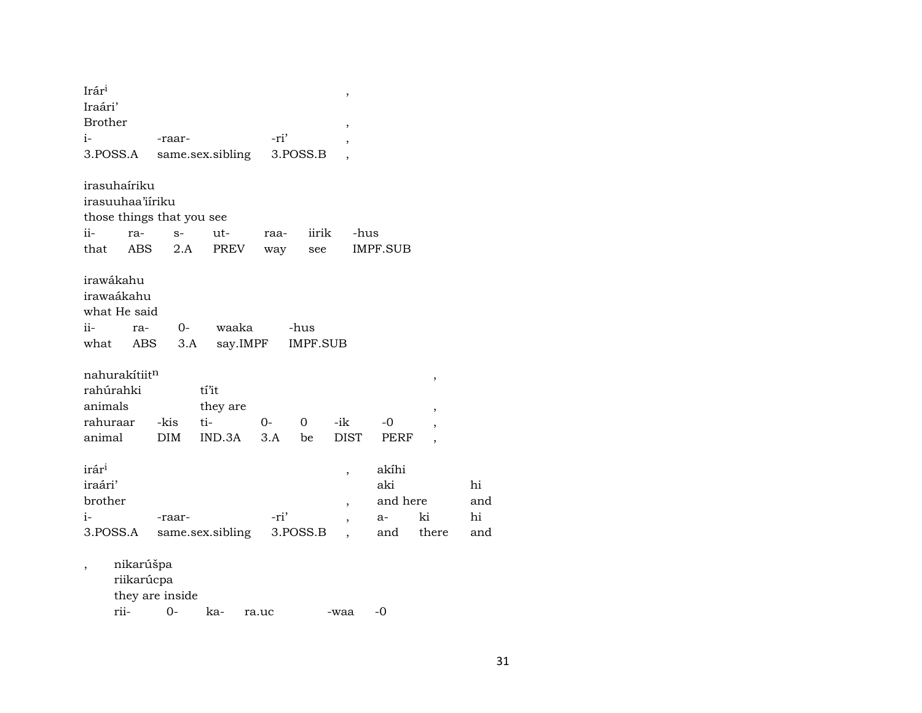| Irár <sup>i</sup>         |            |                  |      |                | ,                        |          |                          |     |
|---------------------------|------------|------------------|------|----------------|--------------------------|----------|--------------------------|-----|
| Iraári'                   |            |                  |      |                |                          |          |                          |     |
| <b>Brother</b>            |            |                  |      |                | ,                        |          |                          |     |
| $i-$                      | -raar-     |                  | -ri' |                | ,                        |          |                          |     |
| 3.POSS.A                  |            | same.sex.sibling |      | 3.POSS.B       |                          |          |                          |     |
|                           |            |                  |      |                |                          |          |                          |     |
| irasuhaíriku              |            |                  |      |                |                          |          |                          |     |
| irasuuhaa'iíriku          |            |                  |      |                |                          |          |                          |     |
| those things that you see |            |                  |      |                |                          |          |                          |     |
| $ii -$<br>ra-             | $S-$       | ut-              | raa- | iirik          | -hus                     |          |                          |     |
| that ABS                  | 2.A        | PREV             | way  | see            |                          | IMPF.SUB |                          |     |
|                           |            |                  |      |                |                          |          |                          |     |
| irawákahu<br>irawaákahu   |            |                  |      |                |                          |          |                          |     |
|                           |            |                  |      |                |                          |          |                          |     |
| what He said              |            |                  |      |                |                          |          |                          |     |
| ii-                       | ra-        | 0- waaka         |      | -hus           |                          |          |                          |     |
| what                      | ABS        | 3.A say.IMPF     |      | IMPF.SUB       |                          |          |                          |     |
| nahurakítiitn             |            |                  |      |                |                          |          |                          |     |
| rahúrahki                 |            | tí'it            |      |                |                          |          | ,                        |     |
| animals                   |            | they are         |      |                |                          |          |                          |     |
| rahuraar                  | -kis       | ti-              | $O-$ | $\overline{0}$ | -ik                      | $-0$     | ,                        |     |
| animal                    | <b>DIM</b> | IND.3A           | 3.A  | be             | DIST                     | PERF     | $\overline{\phantom{a}}$ |     |
|                           |            |                  |      |                |                          |          | $\overline{\phantom{a}}$ |     |
| irár <sup>i</sup>         |            |                  |      |                | $\overline{\phantom{a}}$ | akíhi    |                          |     |
| iraári'                   |            |                  |      |                |                          | aki      |                          | hi  |
| brother                   |            |                  |      |                | $\overline{\phantom{a}}$ | and here |                          | and |
| i-                        | -raar-     |                  | -ri' |                | $\overline{\phantom{a}}$ | a-       | ki                       | hi  |
| 3.POSS.A                  |            | same.sex.sibling |      | 3.POSS.B       |                          | and      | there                    | and |
|                           |            |                  |      |                |                          |          |                          |     |
| $\, ,$                    | nikarúšpa  |                  |      |                |                          |          |                          |     |

riikarúcpa

they are inside<br>rii-0rii- 0- ka- ra.uc -waa -0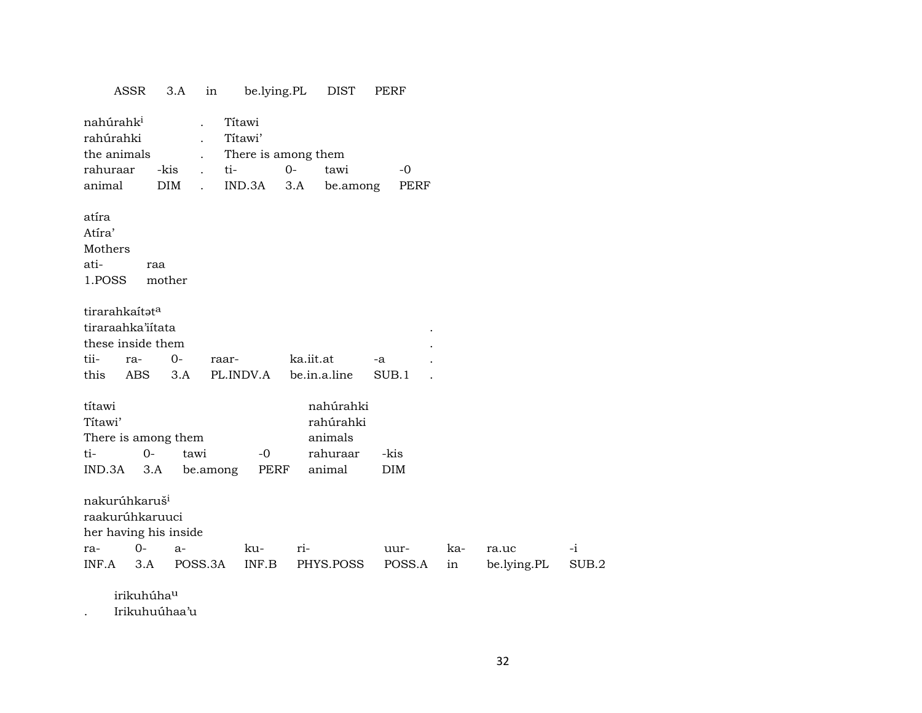| ASSR                               |                        | 3.A        | in                   | be.lying.PL         |           | DIST         | PERF |             |     |             |       |
|------------------------------------|------------------------|------------|----------------------|---------------------|-----------|--------------|------|-------------|-----|-------------|-------|
| nahúrahk <sup>i</sup><br>rahúrahki |                        |            |                      | Títawi<br>Títawi'   |           |              |      |             |     |             |       |
| the animals                        |                        |            |                      | There is among them |           |              |      |             |     |             |       |
| rahuraar                           |                        | -kis       | ti-                  |                     | $O -$     | tawi         |      | $-0$        |     |             |       |
| animal                             |                        | <b>DIM</b> | $\ddot{\phantom{0}}$ | IND.3A              | 3.A       | be.among     |      | <b>PERF</b> |     |             |       |
| atíra                              |                        |            |                      |                     |           |              |      |             |     |             |       |
| Atíra'                             |                        |            |                      |                     |           |              |      |             |     |             |       |
| Mothers                            |                        |            |                      |                     |           |              |      |             |     |             |       |
| ati-                               | raa                    |            |                      |                     |           |              |      |             |     |             |       |
| 1.POSS                             |                        | mother     |                      |                     |           |              |      |             |     |             |       |
| tirarahkaítata                     |                        |            |                      |                     |           |              |      |             |     |             |       |
| tiraraahka'iitata                  |                        |            |                      |                     |           |              |      |             |     |             |       |
| these inside them                  |                        |            |                      |                     |           |              |      |             |     |             |       |
| tii-<br>ra-                        |                        | $0-$       | raar-                |                     | ka.iit.at |              | -a   |             |     |             |       |
| this                               | ABS                    | 3.A        |                      | PL.INDV.A           |           | be.in.a.line |      | SUB.1       |     |             |       |
| títawi                             |                        |            |                      |                     |           | nahúrahki    |      |             |     |             |       |
| Títawi'                            |                        |            |                      |                     |           | rahúrahki    |      |             |     |             |       |
| There is among them                |                        |            |                      |                     |           | animals      |      |             |     |             |       |
| ti-                                | $O -$                  | tawi       |                      | $-0$                |           | rahuraar     |      | -kis        |     |             |       |
| IND.3A                             | 3.A                    |            | be.among             | PERF                |           | animal       |      | <b>DIM</b>  |     |             |       |
| nakurúhkaruš <sup>i</sup>          |                        |            |                      |                     |           |              |      |             |     |             |       |
| raakurúhkaruuci                    |                        |            |                      |                     |           |              |      |             |     |             |       |
| her having his inside              |                        |            |                      |                     |           |              |      |             |     |             |       |
| ra-                                | $0-$                   | $a-$       |                      | ku-                 | ri-       |              |      | uur-        | ka- | ra.uc       | $-i$  |
| INF.A                              | 3.A                    | POSS.3A    |                      | INF.B               |           | PHYS.POSS    |      | POSS.A      | in  | be.lying.PL | SUB.2 |
|                                    | irikuhúha <sup>u</sup> |            |                      |                     |           |              |      |             |     |             |       |
|                                    |                        |            |                      |                     |           |              |      |             |     |             |       |

. Irikuhuúhaa'u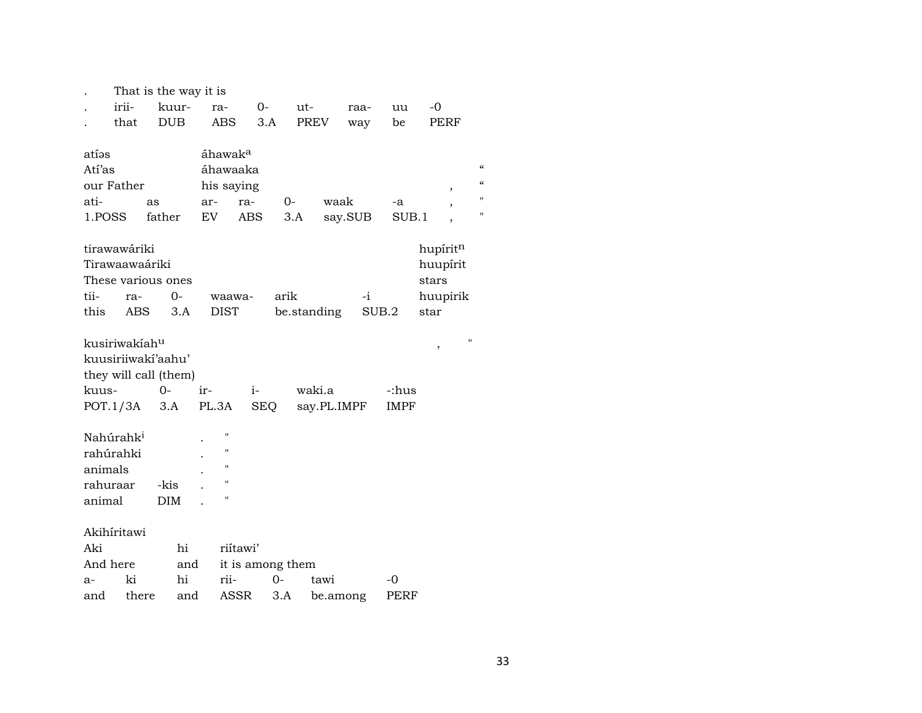|                       |                           | That is the way it is |                     |                  |       |             |          |             |             |                          |
|-----------------------|---------------------------|-----------------------|---------------------|------------------|-------|-------------|----------|-------------|-------------|--------------------------|
|                       | irii-                     | kuur-                 | ra-                 |                  | $O-$  | ut-         |          | raa-        | uu          | -0                       |
|                       | that                      | <b>DUB</b>            | ABS                 |                  | 3.A   | PREV        |          | way         | be          | PERF                     |
|                       |                           |                       |                     |                  |       |             |          |             |             |                          |
| atíəs                 |                           |                       | áhawak <sup>a</sup> |                  |       |             |          |             |             |                          |
| Atí'as                |                           |                       |                     | áhawaaka         |       |             |          |             |             |                          |
| our Father            |                           |                       |                     | his saying       |       |             |          |             |             | $\,$                     |
| ati-                  |                           | as                    | ar-                 | ra-              | 0-    |             | waak     |             | -a          |                          |
| 1.POSS                |                           | father                | EV                  | ABS              |       | 3.A         |          | say.SUB     | SUB.1       | $\overline{\phantom{a}}$ |
|                       |                           |                       |                     |                  |       |             |          |             |             |                          |
|                       | tirawawáriki              |                       |                     |                  |       |             |          |             |             | hupíritn                 |
|                       | Tirawaawaáriki            |                       |                     |                  |       |             |          |             |             | huupírit                 |
|                       |                           | These various ones    |                     |                  |       |             |          |             |             | stars                    |
| tii-                  | ra-                       | $0-$                  |                     | waawa-           | arik  |             |          | $-i$        |             | huupirik                 |
| this                  | <b>ABS</b>                | 3.A                   | <b>DIST</b>         |                  |       | be.standing |          | SUB.2       |             | star                     |
|                       |                           |                       |                     |                  |       |             |          |             |             |                          |
|                       | kusiriwakíah <sup>u</sup> |                       |                     |                  |       |             |          |             |             |                          |
|                       |                           | kuusiriiwaki'aahu'    |                     |                  |       |             |          |             |             | ,                        |
|                       |                           | they will call (them) |                     |                  |       |             |          |             |             |                          |
| kuus-                 |                           | 0-                    | ir-                 | i-               |       | waki.a      |          |             | -:hus       |                          |
|                       | POT.1/3A                  | 3.A                   | PL.3A               | <b>SEQ</b>       |       |             |          | say.PL.IMPF | IMPF        |                          |
|                       |                           |                       |                     |                  |       |             |          |             |             |                          |
| Nahúrahk <sup>i</sup> |                           |                       | $^{\prime}$         |                  |       |             |          |             |             |                          |
| rahúrahki             |                           |                       | $^{\prime}$         |                  |       |             |          |             |             |                          |
| animals               |                           |                       | $^{\prime}$         |                  |       |             |          |             |             |                          |
| rahuraar              |                           | -kis                  | Ħ                   |                  |       |             |          |             |             |                          |
|                       |                           |                       | $^{\prime}$         |                  |       |             |          |             |             |                          |
| animal                |                           | <b>DIM</b>            |                     |                  |       |             |          |             |             |                          |
| Akihíritawi           |                           |                       |                     |                  |       |             |          |             |             |                          |
| Aki                   |                           | hi                    |                     | riitawi'         |       |             |          |             |             |                          |
| And here              |                           | and                   |                     | it is among them |       |             |          |             |             |                          |
| a-                    | ki                        | hi                    | rii-                |                  | $0 -$ |             | tawi     |             | -0          |                          |
| and                   | there                     | and                   |                     | ASSR             | 3.A   |             | be.among |             | <b>PERF</b> |                          |

 $\epsilon\epsilon$  $\pmb{\mathcal{U}}$  $\mathbf{u}$  $\mathbf{u}$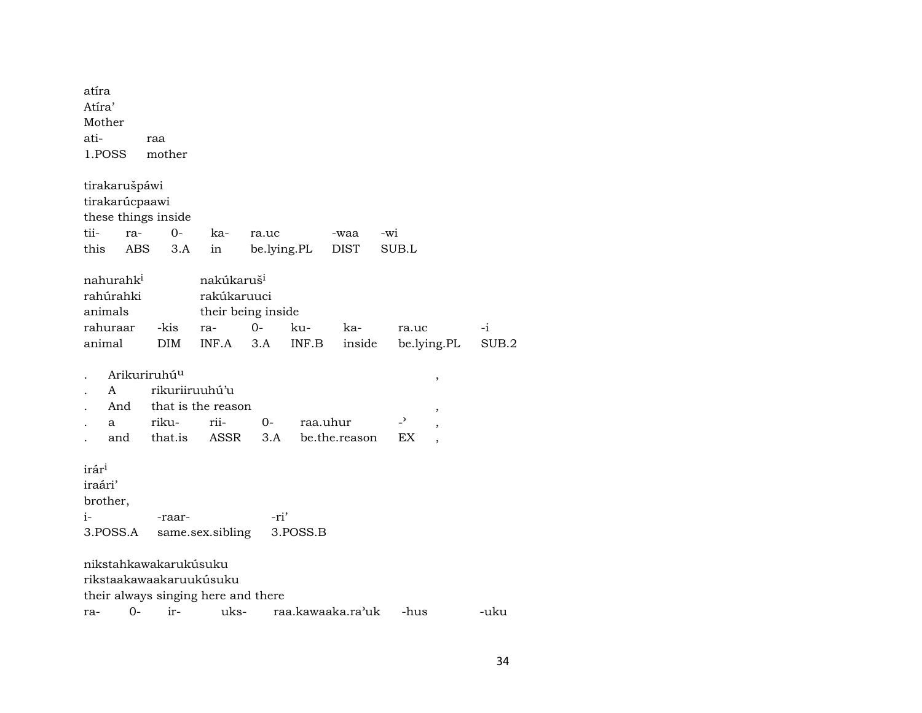| atíra<br>Atíra'<br>Mother<br>ati- |                                    | raa                      |                                                             |       |             |                   |       |             |       |
|-----------------------------------|------------------------------------|--------------------------|-------------------------------------------------------------|-------|-------------|-------------------|-------|-------------|-------|
| 1.POSS                            |                                    | mother                   |                                                             |       |             |                   |       |             |       |
|                                   | tirakarušpáwi                      |                          |                                                             |       |             |                   |       |             |       |
|                                   | tirakarúcpaawi                     |                          |                                                             |       |             |                   |       |             |       |
|                                   |                                    | these things inside      |                                                             |       |             |                   |       |             |       |
| tii-                              | ra-                                | $0-$                     | ka-                                                         | ra.uc |             | -waa              | -wi   |             |       |
| this                              | <b>ABS</b>                         | 3.A                      | in                                                          |       | be.lying.PL | <b>DIST</b>       | SUB.L |             |       |
| animals                           | nahurahk <sup>i</sup><br>rahúrahki |                          | nakúkaruš <sup>i</sup><br>rakúkaruuci<br>their being inside |       |             |                   |       |             |       |
|                                   | rahuraar                           | -kis                     | ra-                                                         | 0-    | ku-         | ka-               | ra.uc |             | $-i$  |
| animal                            |                                    | <b>DIM</b>               | INF.A                                                       | 3.A   | INF.B       | inside            |       | be.lying.PL | SUB.2 |
|                                   |                                    | Arikuriruhú <sup>u</sup> |                                                             |       |             |                   |       | $\,$        |       |
|                                   | A                                  |                          | rikuriiruuhú'u                                              |       |             |                   |       |             |       |
|                                   | And                                |                          | that is the reason                                          |       |             |                   |       | $\,$        |       |
|                                   | a                                  | riku-                    | rii-                                                        | $0-$  | raa.uhur    |                   | -,    | $\,$        |       |
|                                   | and                                | that.is                  | ASSR                                                        | 3.A   |             | be.the.reason     | ЕX    |             |       |
| irár <sup>i</sup>                 |                                    |                          |                                                             |       |             |                   |       |             |       |
| iraári'                           |                                    |                          |                                                             |       |             |                   |       |             |       |
| brother,                          |                                    |                          |                                                             |       |             |                   |       |             |       |
| i-                                |                                    | -raar-                   |                                                             | -ri'  |             |                   |       |             |       |
|                                   | 3.POSS.A                           |                          | same.sex.sibling                                            |       | 3.POSS.B    |                   |       |             |       |
|                                   |                                    | nikstahkawakarukúsuku    |                                                             |       |             |                   |       |             |       |
|                                   |                                    |                          | rikstaakawaakaruukúsuku                                     |       |             |                   |       |             |       |
|                                   |                                    |                          | their always singing here and there                         |       |             |                   |       |             |       |
| ra-                               | $0-$                               | ir-                      | uks-                                                        |       |             | raa.kawaaka.ra'uk | -hus  |             | -uku  |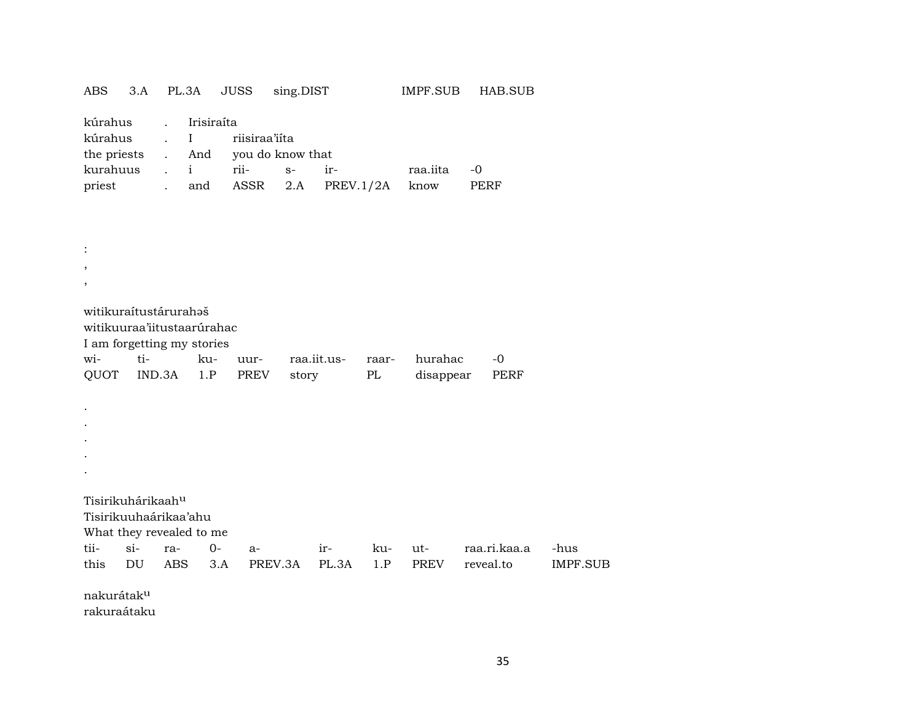|  |  |  |  | ABS 3.A PL.3A JUSS sing.DIST | IMPF.SUB HAB.SUB |  |
|--|--|--|--|------------------------------|------------------|--|
|--|--|--|--|------------------------------|------------------|--|

| kúrahus . Irisiraíta      |  |  |                                    |                                           |             |  |  |  |  |
|---------------------------|--|--|------------------------------------|-------------------------------------------|-------------|--|--|--|--|
| kúrahus . I riisiraa'iíta |  |  |                                    |                                           |             |  |  |  |  |
|                           |  |  | the priests . And you do know that |                                           |             |  |  |  |  |
|                           |  |  |                                    | kurahuus i rii- s- ir-                    | raa.iita -0 |  |  |  |  |
|                           |  |  |                                    | priest . and ASSR 2.A PREV.1/2A know PERF |             |  |  |  |  |

: , , witikuraítustárurahaš witikuuraa'iitustaarúrahac I am forgetting my stories wi- ti- ku- uur- raa.iit.us- raar- hurahac -0 QUOT IND.3A 1.P PREV story PL disappear PERF . . . . . Tisirikuhárikaah<sup>u</sup> Tisirikuuhaárikaa'ahu What they revealed to me tii- si- ra- 0- a- ir- ku- ut- raa.ri.kaa.a -hus this DU ABS 3.A PREV.3A PL.3A 1.P PREV reveal.to IMPF.SUB nakurátakµ rakuraátaku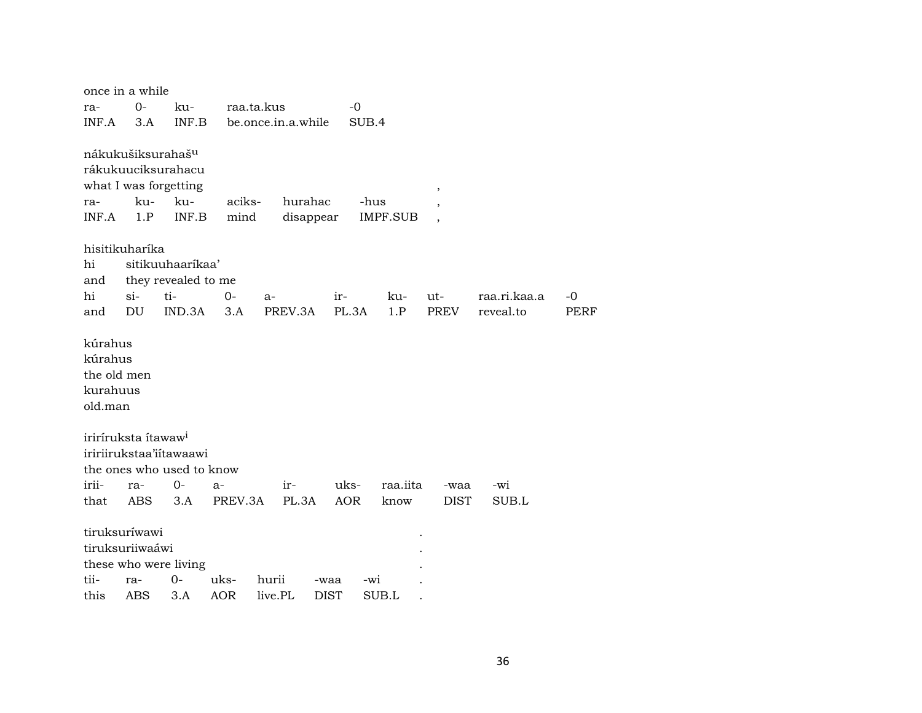|                                                          | once in a while                  |                                                                                              |                |                      |             |                         |                          |              |      |
|----------------------------------------------------------|----------------------------------|----------------------------------------------------------------------------------------------|----------------|----------------------|-------------|-------------------------|--------------------------|--------------|------|
| ra-                                                      | 0-                               | ku-                                                                                          | raa.ta.kus     |                      | -0          |                         |                          |              |      |
| INF.A                                                    | 3.A                              | INF.B                                                                                        |                | be.once.in.a.while   | SUB.4       |                         |                          |              |      |
| ra-<br>INF.A                                             | ku-<br>1.P                       | nákukušiksurahaš <sup>u</sup><br>rákukuuciksurahacu<br>what I was forgetting<br>ku-<br>INF.B | aciks-<br>mind | hurahac<br>disappear |             | -hus<br><b>IMPF.SUB</b> | $\overline{\phantom{a}}$ |              |      |
|                                                          | hisitikuharíka                   |                                                                                              |                |                      |             |                         |                          |              |      |
| hi                                                       |                                  | sitikuuhaaríkaa'                                                                             |                |                      |             |                         |                          |              |      |
| and                                                      |                                  | they revealed to me                                                                          |                |                      |             |                         |                          |              |      |
| hi                                                       | $si$ -                           | ti-                                                                                          | $0-$           | $a-$                 | ir-         | ku-                     | ut-                      | raa.ri.kaa.a | -0   |
| and                                                      | DU                               | IND.3A                                                                                       | 3.A            | PREV.3A              | PL.3A       | 1.P                     | PREV                     | reveal.to    | PERF |
| kúrahus<br>kúrahus<br>the old men<br>kurahuus<br>old.man |                                  |                                                                                              |                |                      |             |                         |                          |              |      |
|                                                          | iriríruksta ítawaw <sup>i</sup>  | iririirukstaa'iitawaawi<br>the ones who used to know                                         |                |                      |             |                         |                          |              |      |
| irii-                                                    | ra-                              | $0-$                                                                                         | a-             | ir-                  | uks-        | raa.iita                | -waa                     | $-wi$        |      |
| that                                                     | ABS                              | 3.A                                                                                          | PREV.3A        | PL.3A                | <b>AOR</b>  | know                    | <b>DIST</b>              | SUB.L        |      |
|                                                          | tiruksuríwawi<br>tiruksuriiwaáwi | these who were living                                                                        |                |                      |             |                         |                          |              |      |
| tii-                                                     | ra-                              | 0-                                                                                           | uks-           | hurii                | -waa        | $-wi$                   |                          |              |      |
| this                                                     | ABS                              | 3.A                                                                                          | <b>AOR</b>     | live.PL              | <b>DIST</b> | SUB.L                   |                          |              |      |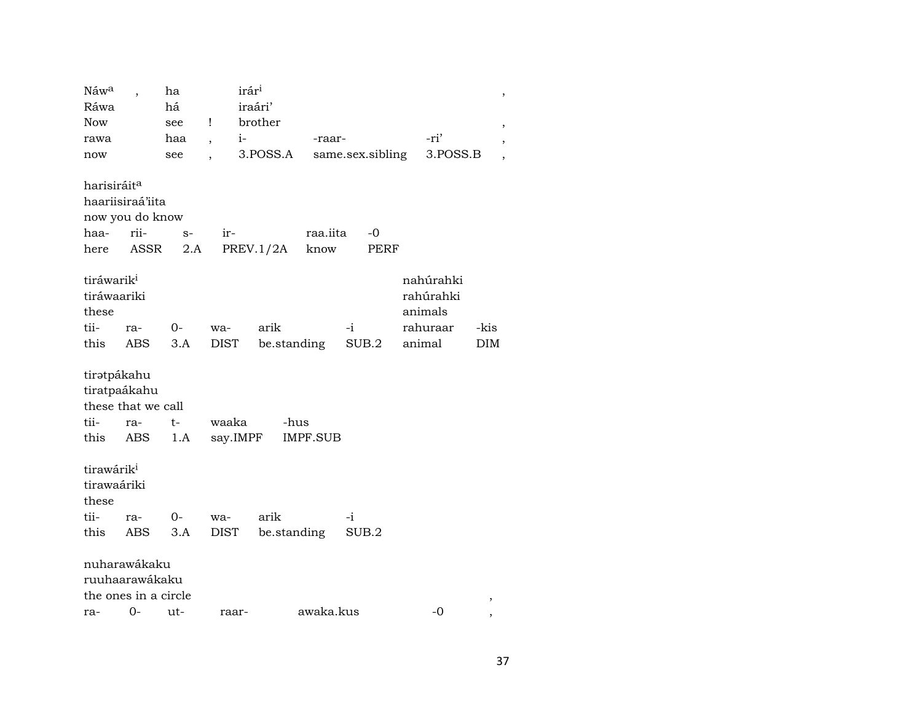| Náwa                                                              |            | ha          | irár <sup>i</sup>        |             |             |       |                  |                                   | ,    |  |
|-------------------------------------------------------------------|------------|-------------|--------------------------|-------------|-------------|-------|------------------|-----------------------------------|------|--|
| Ráwa                                                              |            | há          |                          | iraári'     |             |       |                  |                                   |      |  |
| <b>Now</b>                                                        |            | see         | $\mathbf{I}$             | brother     |             |       |                  |                                   |      |  |
| rawa                                                              |            | haa         | $i-$<br>$\overline{ }$ , |             | -raar-      |       |                  | -ri'                              |      |  |
| now                                                               |            | see         | $\ddot{\phantom{0}}$     | 3.POSS.A    |             |       | same.sex.sibling | 3.POSS.B                          |      |  |
|                                                                   |            |             |                          |             |             |       |                  |                                   |      |  |
| harisiráit <sup>a</sup>                                           |            |             |                          |             |             |       |                  |                                   |      |  |
| haariisiraá'iita                                                  |            |             |                          |             |             |       |                  |                                   |      |  |
| now you do know                                                   |            |             |                          |             |             |       |                  |                                   |      |  |
| haa-                                                              | rii-       | $S-$        | ir-                      |             | raa.iita    |       | $-0$             |                                   |      |  |
| here                                                              | ASSR       | 2.A         |                          | PREV.1/2A   | know        |       | PERF             |                                   |      |  |
| tiráwarik <sup>i</sup><br>tiráwaariki<br>these                    |            |             |                          |             |             |       |                  | nahúrahki<br>rahúrahki<br>animals |      |  |
| tii-                                                              | ra-        | $O-$        | wa-                      | arik        |             | $-i$  |                  | rahuraar                          | -kis |  |
| this                                                              | ABS        | 3.A         | DIST                     |             | be.standing |       | SUB.2            | animal                            | DIM  |  |
| tiratpákahu<br>tiratpaákahu<br>these that we call<br>tii-<br>this | ra-<br>ABS | $t-$<br>1.A | waaka<br>say.IMPF        | -hus        | IMPF.SUB    |       |                  |                                   |      |  |
| tirawárik <sup>i</sup><br>tirawaáriki<br>these                    |            |             |                          |             |             |       |                  |                                   |      |  |
| tii-                                                              | ra-        | $O-$        | wa-                      | arik        |             | -i    |                  |                                   |      |  |
| this                                                              | ABS        | 3.A         | DIST                     | be.standing |             | SUB.2 |                  |                                   |      |  |
| nuharawákaku<br>ruuhaarawákaku<br>the ones in a circle            |            |             |                          |             |             |       |                  |                                   | ,    |  |
| ra-                                                               | $0 -$      | ut-         | raar-                    |             | awaka.kus   |       |                  | $-0$                              |      |  |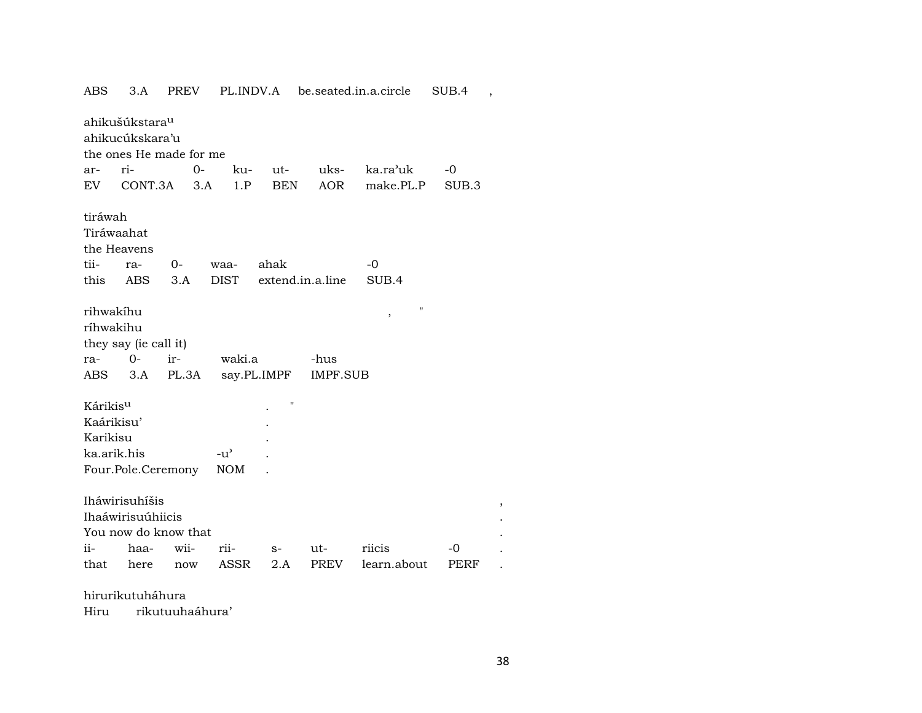| ABS                                                                      | 3.A                                  | PREV         |               | PL.INDV.A   |                         | be.seated.in.a.circle | SUB.4             | $\overline{\phantom{a}}$ |  |  |  |
|--------------------------------------------------------------------------|--------------------------------------|--------------|---------------|-------------|-------------------------|-----------------------|-------------------|--------------------------|--|--|--|
| ahikušúkstara <sup>u</sup><br>ahikucúkskara'u<br>the ones He made for me |                                      |              |               |             |                         |                       |                   |                          |  |  |  |
| ar-                                                                      | ri-                                  |              | $0-$<br>ku-   | ut-         | uks-                    | ka.ra'uk              | -0                |                          |  |  |  |
| EV                                                                       | CONT.3A                              |              | 1.P<br>3.A    | <b>BEN</b>  | AOR                     | make.PL.P             | SUB <sub>.3</sub> |                          |  |  |  |
| tiráwah<br>Tiráwaahat                                                    | the Heavens                          |              |               |             |                         |                       |                   |                          |  |  |  |
| tii-                                                                     | ra-                                  | $O -$        | waa-          | ahak        |                         | -0                    |                   |                          |  |  |  |
| this                                                                     | ABS                                  | 3.A          | <b>DIST</b>   |             | extend.in.a.line        | SUB.4                 |                   |                          |  |  |  |
| rihwakíhu<br>ríhwakihu<br>ra-<br>ABS                                     | they say (ie call it)<br>$0-$<br>3.A | ir-<br>PL.3A | waki.a        | say.PL.IMPF | -hus<br><b>IMPF.SUB</b> | П<br>,                |                   |                          |  |  |  |
| Kárikis <sup>u</sup>                                                     |                                      |              |               | П           |                         |                       |                   |                          |  |  |  |
| Kaárikisu'                                                               |                                      |              |               |             |                         |                       |                   |                          |  |  |  |
| Karikisu                                                                 |                                      |              |               |             |                         |                       |                   |                          |  |  |  |
| ka.arik.his                                                              |                                      |              | $-u^{\prime}$ |             |                         |                       |                   |                          |  |  |  |
|                                                                          | Four.Pole.Ceremony                   |              | <b>NOM</b>    |             |                         |                       |                   |                          |  |  |  |
| Iháwirisuhíšis<br>$\, ,$<br>Ihaáwirisuúhiicis<br>You now do know that    |                                      |              |               |             |                         |                       |                   |                          |  |  |  |
| ii-                                                                      | haa-                                 | wii-         | rii-          | $S-$        | ut-                     | riicis                | -0                |                          |  |  |  |
| that                                                                     | here                                 | now          | ASSR          | 2.A         | PREV                    | learn.about           | PERF              |                          |  |  |  |

hirurikutuháhura

Hiru rikutuuhaáhura'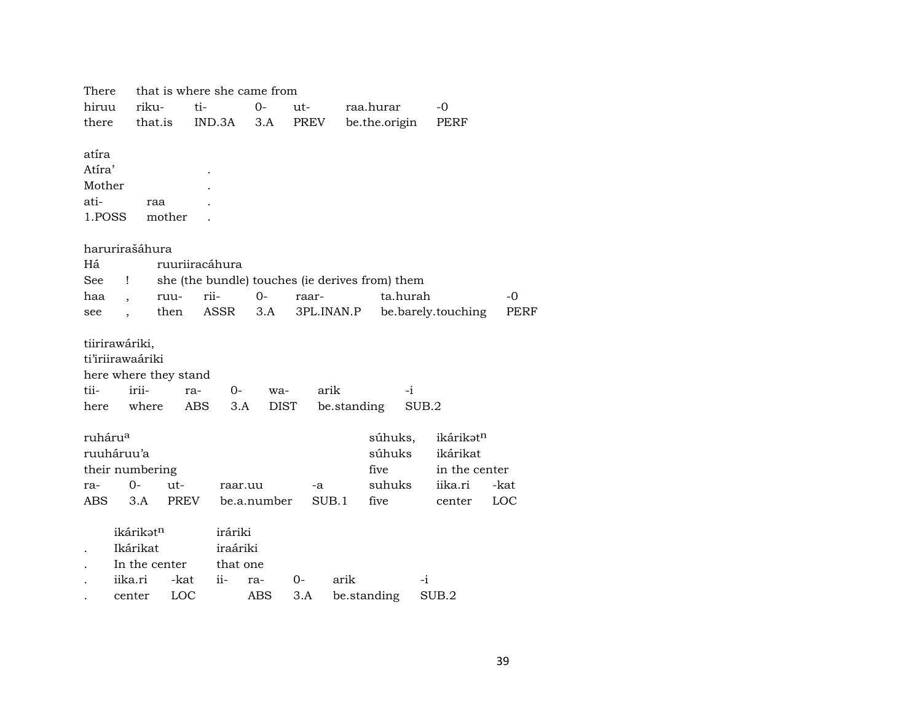| There                |                       |                | that is where she came from |             |       |             |                                                 |       |                    |      |
|----------------------|-----------------------|----------------|-----------------------------|-------------|-------|-------------|-------------------------------------------------|-------|--------------------|------|
| hiruu                | riku-                 | ti-            |                             | $0-$        | ut-   |             | raa.hurar                                       |       | $-0$               |      |
| there                | that.is               |                | IND.3A                      | 3.A         | PREV  |             | be.the.origin                                   |       | PERF               |      |
|                      |                       |                |                             |             |       |             |                                                 |       |                    |      |
| atíra                |                       |                |                             |             |       |             |                                                 |       |                    |      |
| Atíra'               |                       |                |                             |             |       |             |                                                 |       |                    |      |
| Mother               |                       |                |                             |             |       |             |                                                 |       |                    |      |
| ati-                 | raa                   |                |                             |             |       |             |                                                 |       |                    |      |
| 1.POSS               |                       | mother         |                             |             |       |             |                                                 |       |                    |      |
|                      |                       |                |                             |             |       |             |                                                 |       |                    |      |
|                      | harurirašáhura        |                |                             |             |       |             |                                                 |       |                    |      |
| Há                   |                       | ruuriiracáhura |                             |             |       |             |                                                 |       |                    |      |
| $\operatorname{See}$ | Ţ                     |                |                             |             |       |             | she (the bundle) touches (ie derives from) them |       |                    |      |
| haa                  |                       | ruu-           | rii-                        | $0-$        | raar- |             | ta.hurah                                        |       |                    | -0   |
| see                  |                       | then           | ASSR                        | 3.A         |       | 3PL.INAN.P  |                                                 |       | be.barely.touching | PERF |
|                      |                       |                |                             |             |       |             |                                                 |       |                    |      |
|                      | tiirirawáriki,        |                |                             |             |       |             |                                                 |       |                    |      |
|                      | ti'iriirawaáriki      |                |                             |             |       |             |                                                 |       |                    |      |
|                      | here where they stand |                |                             |             |       |             |                                                 |       |                    |      |
| tii-                 | irii-                 | ra-            | 0-                          | wa-         |       | arik        | $-i$                                            |       |                    |      |
| here                 | where                 | <b>ABS</b>     | 3.A                         | DIST        |       | be.standing |                                                 | SUB.2 |                    |      |
|                      |                       |                |                             |             |       |             |                                                 |       |                    |      |
| ruháru <sup>a</sup>  |                       |                |                             |             |       |             | súhuks,                                         |       | ikárikatn          |      |
|                      | ruuháruu'a            |                |                             |             |       |             | súhuks                                          |       | ikárikat           |      |
|                      | their numbering       |                |                             |             |       |             | five                                            |       | in the center      |      |
| ra-                  | $0-$                  | ut-            | raar.uu                     |             | -a    |             | suhuks                                          |       | iika.ri            | -kat |
| ABS                  | 3.A                   | <b>PREV</b>    |                             | be.a.number |       | SUB.1       | five                                            |       | center             | LOC  |
|                      |                       |                |                             |             |       |             |                                                 |       |                    |      |
|                      | ikárikət <sup>n</sup> |                | iráriki                     |             |       |             |                                                 |       |                    |      |
|                      | Ikárikat              |                | iraáriki                    |             |       |             |                                                 |       |                    |      |
|                      | In the center         |                | that one                    |             |       |             |                                                 |       |                    |      |
|                      | iika.ri               | -kat           | $ii -$                      | ra-         | $0-$  | arik        |                                                 | $-i$  |                    |      |
|                      | center                | LOC            |                             | ABS         | 3.A   |             | be.standing                                     |       | SUB.2              |      |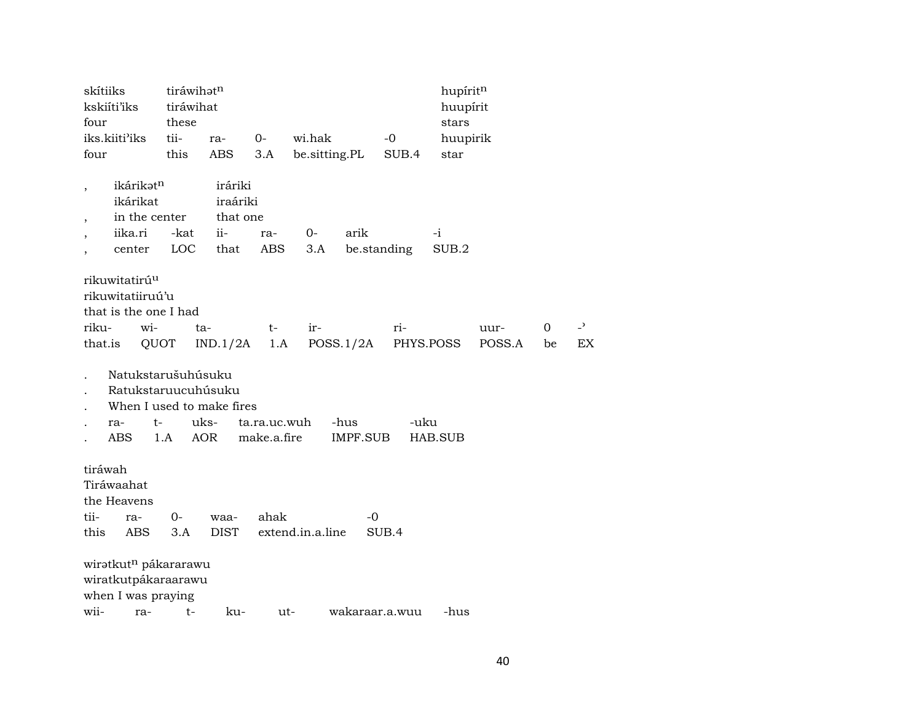| skítiiks<br>four                                                                         | kskiíti'iks                                                                                       | tiráwihatn<br>tiráwihat<br>these |                                                   |                             |                  |                  |                | hupíritn<br>huupírit<br>stars |                |         |                      |
|------------------------------------------------------------------------------------------|---------------------------------------------------------------------------------------------------|----------------------------------|---------------------------------------------------|-----------------------------|------------------|------------------|----------------|-------------------------------|----------------|---------|----------------------|
|                                                                                          | iks.kiiti'iks                                                                                     | tii-                             | ra-                                               | $0-$                        | wi.hak           |                  | $-0$           | huupirik                      |                |         |                      |
| four                                                                                     |                                                                                                   | this                             | ABS                                               | 3.A                         | be.sitting.PL    |                  | SUB.4          | star                          |                |         |                      |
| $\overline{\phantom{a}}$<br>$\,$<br>$\overline{\phantom{a}}$<br>$\overline{\phantom{a}}$ | ikárikatn<br>ikárikat<br>in the center<br>iika.ri<br>center                                       | -kat<br>LOC                      | iráriki<br>iraáriki<br>that one<br>$ii -$<br>that | ra-<br>ABS                  | 0-<br>3.A        | arik             | be.standing    | $-i$<br>SUB.2                 |                |         |                      |
| riku-<br>that.is                                                                         | rikuwitatirú <sup>u</sup><br>rikuwitatiiruú'u<br>that is the one I had<br>wi-<br>QUOT             | ta-                              | IND.1/2A                                          | t-<br>1.A                   | ir-              | POSS.1/2A        | ri-            | PHYS.POSS                     | uur-<br>POSS.A | 0<br>be | $\overline{z}$<br>EX |
|                                                                                          | Natukstarušuhúsuku<br>Ratukstaruucuhúsuku<br>When I used to make fires<br>t-<br>ra-<br><b>ABS</b> | 1.A                              | uks-<br>AOR                                       | ta.ra.uc.wuh<br>make.a.fire |                  | -hus<br>IMPF.SUB | -uku           | HAB.SUB                       |                |         |                      |
| tiráwah<br>tii-<br>this                                                                  | Tiráwaahat<br>the Heavens<br>ra-<br>ABS                                                           | $0 -$<br>3.A                     | waa-<br><b>DIST</b>                               | ahak                        | extend.in.a.line | $-0$             | SUB.4          |                               |                |         |                      |
|                                                                                          | wiratkut <sup>n</sup> pákararawu<br>wiratkutpákaraarawu<br>when I was praying                     |                                  |                                                   |                             |                  |                  |                |                               |                |         |                      |
| wii-                                                                                     | ra-                                                                                               | $t-$                             | ku-                                               | ut-                         |                  |                  | wakaraar.a.wuu | -hus                          |                |         |                      |